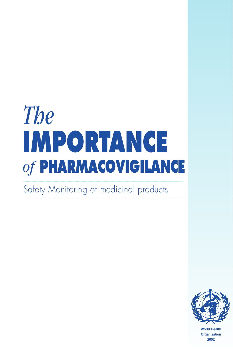# *The* **IMPORTANCE**  *of* **PHARMACOVIGILANCE**

Safety Monitoring of medicinal products



**World Health Organization 2002**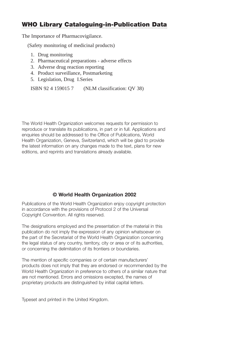# **WHO Library Cataloguing-in-Publication Data**

The Importance of Pharmacovigilance.

(Safety monitoring of medicinal products)

- 1. Drug monitoring
- 2. Pharmaceutical preparations adverse effects
- 3. Adverse drug reaction reporting
- 4. Product surveillance, Postmarketing
- 5. Legislation, Drug I.Series

ISBN 92 4 159015 7 (NLM classification: QV 38)

The World Health Organization welcomes requests for permission to reproduce or translate its publications, in part or in full. Applications and enquiries should be addressed to the Office of Publications, World Health Organization, Geneva, Switzerland, which will be glad to provide the latest information on any changes made to the text, plans for new editions, and reprints and translations already available.

## **© World Health Organization 2002**

Publications of the World Health Organization enjoy copyright protection in accordance with the provisions of Protocol 2 of the Universal Copyright Convention. All rights reserved.

The designations employed and the presentation of the material in this publication do not imply the expression of any opinion whatsoever on the part of the Secretariat of the World Health Organization concerning the legal status of any country, territory, city or area or of its authorities, or concerning the delimitation of its frontiers or boundaries.

The mention of specific companies or of certain manufacturers' products does not imply that they are endorsed or recommended by the World Health Organization in preference to others of a similar nature that are not mentioned. Errors and omissions excepted, the names of proprietary products are distinguished by initial capital letters.

Typeset and printed in the United Kingdom.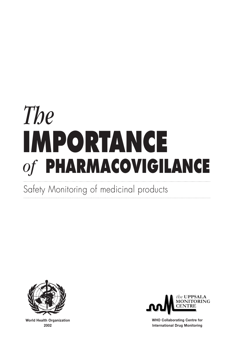# *The* **IMPORTANCE**  *of* **PHARMACOVIGILANCE**

Safety Monitoring of medicinal products



**World Health Organization 2002**



**WHO Collaborating Centre for International Drug Monitoring**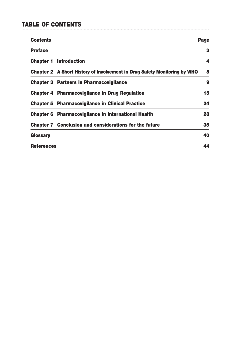# **TABLE OF CONTENTS**

| <b>Contents</b>   |                                                                           | Page |
|-------------------|---------------------------------------------------------------------------|------|
| <b>Preface</b>    |                                                                           | з    |
|                   | <b>Chapter 1 Introduction</b>                                             | 4    |
|                   | Chapter 2 A Short History of Involvement in Drug Safety Monitoring by WHO | 5    |
|                   | <b>Chapter 3 Partners in Pharmacovigilance</b>                            | 9    |
|                   | Chapter 4 Pharmacovigilance in Drug Regulation                            | 15   |
|                   | <b>Chapter 5 Pharmacovigilance in Clinical Practice</b>                   | 24   |
|                   | Chapter 6 Pharmacovigilance in International Health                       | 28   |
|                   | <b>Chapter 7 Conclusion and considerations for the future</b>             | 35   |
| Glossary          |                                                                           | 40   |
| <b>References</b> |                                                                           | 44   |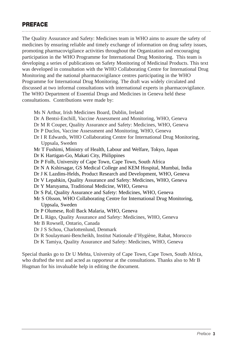# **PREFACE**

The Quality Assurance and Safety: Medicines team in WHO aims to assure the safety of medicines by ensuring reliable and timely exchange of information on drug safety issues, promoting pharmacovigilance activities throughout the Organization and encouraging participation in the WHO Programme for International Drug Monitoring. This team is developing a series of publications on Safety Monitoring of Medicinal Products. This text was developed in consultation with the WHO Collaborating Centre for International Drug Monitoring and the national pharmacovigilance centres participating in the WHO Programme for International Drug Monitoring. The draft was widely circulated and discussed at two informal consultations with international experts in pharmacovigilance. The WHO Department of Essential Drugs and Medicines in Geneva held these consultations. Contributions were made by:

Ms N Arthur, Irish Medicines Board, Dublin, Ireland Dr A Bentsi-Enchill, Vaccine Assessment and Monitoring, WHO, Geneva Dr M R Couper, Quality Assurance and Safety: Medicines, WHO, Geneva Dr P Duclos, Vaccine Assessment and Monitoring, WHO, Geneva Dr I R Edwards, WHO Collaborating Centre for International Drug Monitoring, Uppsala, Sweden Mr T Fushimi, Ministry of Health, Labour and Welfare, Tokyo, Japan Dr K Hartigan-Go, Makati City, Philippines Dr P Folb, University of Cape Town, Cape Town, South Africa Dr N A Kshirsagar, GS Medical College and KEM Hospital, Mumbai, India Dr J K Lazdins-Helds, Product Research and Development, WHO, Geneva Dr V Lepahkin, Quality Assurance and Safety: Medicines, WHO, Geneva Dr Y Maruyama, Traditional Medicine, WHO, Geneva Dr S Pal, Quality Assurance and Safety: Medicines, WHO, Geneva Mr S Olsson, WHO Collaborating Centre for International Drug Monitoring, Uppsala, Sweden Dr P Olumese, Roll Back Malaria, WHO, Geneva Dr L Rägo, Quality Assurance and Safety: Medicines, WHO, Geneva Mr B Rowsell, Ontario, Canada Dr J S Schou, Charlottenlund, Denmark Dr R Soulaymani-Bencheikh, Institut Nationale d'Hygiène, Rabat, Morocco Dr K Tamiya, Quality Assurance and Safety: Medicines, WHO, Geneva Special thanks go to Dr U Mehta, University of Cape Town, Cape Town, South Africa, who drafted the text and acted as rapporteur at the consultations. Thanks also to Mr B

Hugman for his invaluable help in editing the document.

*Preface* **3**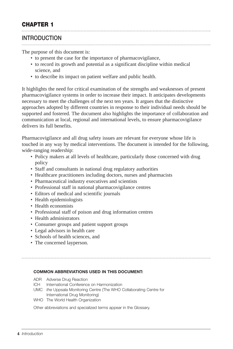## **INTRODUCTION**

The purpose of this document is:

- to present the case for the importance of pharmacovigilance,
- to record its growth and potential as a significant discipline within medical science, and
- to describe its impact on patient welfare and public health.

It highlights the need for critical examination of the strengths and weaknesses of present pharmacovigilance systems in order to increase their impact. It anticipates developments necessary to meet the challenges of the next ten years. It argues that the distinctive approaches adopted by different countries in response to their individual needs should be supported and fostered. The document also highlights the importance of collaboration and communication at local, regional and international levels, to ensure pharmacovigilance delivers its full benefits.

Pharmacovigilance and all drug safety issues are relevant for everyone whose life is touched in any way by medical interventions. The document is intended for the following, wide-ranging readership:

- Policy makers at all levels of healthcare, particularly those concerned with drug policy
- Staff and consultants in national drug regulatory authorities
- Healthcare practitioners including doctors, nurses and pharmacists
- Pharmaceutical industry executives and scientists
- Professional staff in national pharmacovigilance centres
- Editors of medical and scientific journals
- Health epidemiologists
- Health economists
- Professional staff of poison and drug information centres
- Health administrators
- Consumer groups and patient support groups
- Legal advisors in health care
- Schools of health sciences, and
- The concerned layperson.

#### **COMMON ABBREVIATIONS USED IN THIS DOCUMENT:**

- ADR Adverse Drug Reaction
- ICH International Conference on Harmonization
- UMC *the* Uppsala Monitoring Centre (The WHO Collaborating Centre for International Drug Monitoring)
- WHO The World Health Organization

Other abbreviations and specialized terms appear in the Glossary.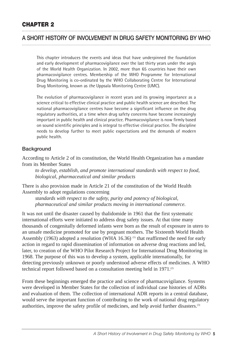## **A SHORT HISTORY OF INVOLVEMENT IN DRUG SAFETY MONITORING BY WHO**

This chapter introduces the events and ideas that have underpinned the foundation and early development of pharmacovigilance over the last thirty years under the aegis of the World Health Organization. In 2002, more than 65 countries have their own pharmacovigilance centres. Membership of the WHO Programme for International Drug Monitoring is co-ordinated by the WHO Collaborating Centre for International Drug Monitoring, known as *the* Uppsala Monitoring Centre (UMC).

The evolution of pharmacovigilance in recent years and its growing importance as a science critical to effective clinical practice and public health science are described. The national pharmacovigilance centres have become a significant influence on the drug regulatory authorities, at a time when drug safety concerns have become increasingly important in public health and clinical practice. Pharmacovigilance is now firmly based on sound scientific principles and is integral to effective clinical practice. The discipline needs to develop further to meet public expectations and the demands of modern public health.

#### **Background**

According to Article 2 of its constitution, the World Health Organization has a mandate from its Member States

*to develop, establish, and promote international standards with respect to food, biological, pharmaceutical and similar products*

There is also provision made in Article 21 of the constitution of the World Health Assembly to adopt regulations concerning

*standards with respect to the safety, purity and potency of biological, pharmaceutical and similar products moving in international commerce.*

It was not until the disaster caused by thalidomide in 1961 that the first systematic international efforts were initiated to address drug safety issues. At that time many thousands of congenitally deformed infants were born as the result of exposure in utero to an unsafe medicine promoted for use by pregnant mothers. The Sixteenth World Health Assembly (1963) adopted a resolution (WHA 16.36)<sup>(1)</sup> that reaffirmed the need for early action in regard to rapid dissemination of information on adverse drug reactions and led, later, to creation of the WHO Pilot Research Project for International Drug Monitoring in 1968. The purpose of this was to develop a system, applicable internationally, for detecting previously unknown or poorly understood adverse effects of medicines. A WHO technical report followed based on a consultation meeting held in 1971.<sup>(2)</sup>

From these beginnings emerged the practice and science of pharmacovigilance. Systems were developed in Member States for the collection of individual case histories of ADRs and evaluation of them. The collection of international ADR reports in a central database, would serve the important function of contributing to the work of national drug regulatory authorities, improve the safety profile of medicines, and help avoid further disasters.(3)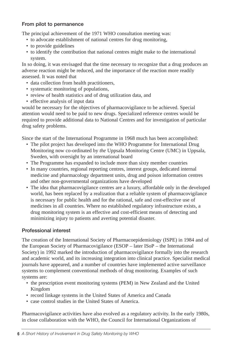#### **From pilot to permanence**

The principal achievement of the 1971 WHO consultation meeting was:

- to advocate establishment of national centres for drug monitoring,
- to provide guidelines
- to identify the contribution that national centres might make to the international system.

In so doing, it was envisaged that the time necessary to recognize that a drug produces an adverse reaction might be reduced, and the importance of the reaction more readily assessed. It was noted that

- data collection from health practitioners,
- systematic monitoring of populations,
- review of health statistics and of drug utilization data, and
- effective analysis of input data

would be necessary for the objectives of pharmacovigilance to be achieved. Special attention would need to be paid to new drugs. Specialized reference centres would be required to provide additional data to National Centres and for investigation of particular drug safety problems.

Since the start of the International Programme in 1968 much has been accomplished:

- The pilot project has developed into the WHO Programme for International Drug Monitoring now co-ordinated by *the* Uppsala Monitoring Centre (UMC) in Uppsala, Sweden, with oversight by an international board
- The Programme has expanded to include more than sixty member countries
- In many countries, regional reporting centres, interest groups, dedicated internal medicine and pharmacology department units, drug and poison information centres and other non-governmental organizations have developed
- The idea that pharmacovigilance centres are a luxury, affordable only in the developed world, has been replaced by a realization that a reliable system of pharmacovigilance is necessary for public health and for the rational, safe and cost-effective use of medicines in all countries. Where no established regulatory infrastructure exists, a drug monitoring system is an effective and cost-efficient means of detecting and minimizing injury to patients and averting potential disaster.

## **Professional interest**

The creation of the International Society of Pharmacoepidemiology (ISPE) in 1984 and of the European Society of Pharmacovigilance (ESOP – later ISoP – the International Society) in 1992 marked the introduction of pharmacovigilance formally into the research and academic world, and its increasing integration into clinical practice. Specialist medical journals have appeared, and a number of countries have implemented active surveillance systems to complement conventional methods of drug monitoring. Examples of such systems are:

- the prescription event monitoring systems (PEM) in New Zealand and the United Kingdom
- record linkage systems in the United States of America and Canada
- case control studies in the United States of America.

Pharmacovigilance activities have also evolved as a regulatory activity. In the early 1980s, in close collaboration with the WHO, the Council for International Organizations of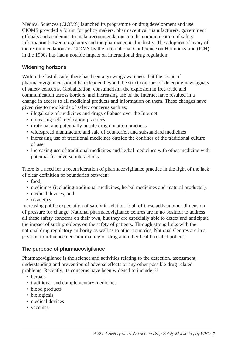Medical Sciences (CIOMS) launched its programme on drug development and use. CIOMS provided a forum for policy makers, pharmaceutical manufacturers, government officials and academics to make recommendations on the communication of safety information between regulators and the pharmaceutical industry. The adoption of many of the recommendations of CIOMS by the International Conference on Harmonization (ICH) in the 1990s has had a notable impact on international drug regulation.

## **Widening horizons**

Within the last decade, there has been a growing awareness that the scope of pharmacovigilance should be extended beyond the strict confines of detecting new signals of safety concerns. Globalization, consumerism, the explosion in free trade and communication across borders, and increasing use of the Internet have resulted in a change in access to all medicinal products and information on them. These changes have given rise to new kinds of safety concerns such as:

- illegal sale of medicines and drugs of abuse over the Internet
- increasing self-medication practices
- irrational and potentially unsafe drug donation practices
- widespread manufacture and sale of counterfeit and substandard medicines
- increasing use of traditional medicines outside the confines of the traditional culture of use
- increasing use of traditional medicines and herbal medicines with other medicine with potential for adverse interactions.

There is a need for a reconsideration of pharmacovigilance practice in the light of the lack of clear definition of boundaries between:

- food
- medicines (including traditional medicines, herbal medicines and 'natural products'),
- medical devices, and
- cosmetics.

Increasing public expectation of safety in relation to all of these adds another dimension of pressure for change. National pharmacovigilance centres are in no position to address all these safety concerns on their own, but they are especially able to detect and anticipate the impact of such problems on the safety of patients. Through strong links with the national drug regulatory authority as well as to other countries, National Centres are in a position to influence decision-making on drug and other health-related policies.

## **The purpose of pharmacovigilance**

Pharmacovigilance is the science and activities relating to the detection, assessment, understanding and prevention of adverse effects or any other possible drug-related problems. Recently, its concerns have been widened to include: (4)

- herbals
- traditional and complementary medicines
- blood products
- biologicals
- medical devices
- vaccines.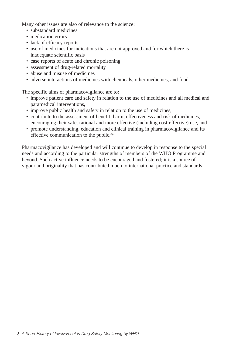Many other issues are also of relevance to the science:

- substandard medicines
- medication errors
- lack of efficacy reports
- use of medicines for indications that are not approved and for which there is inadequate scientific basis
- case reports of acute and chronic poisoning
- assessment of drug-related mortality
- abuse and misuse of medicines
- adverse interactions of medicines with chemicals, other medicines, and food.

The specific aims of pharmacovigilance are to:

- improve patient care and safety in relation to the use of medicines and all medical and paramedical interventions,
- improve public health and safety in relation to the use of medicines,
- contribute to the assessment of benefit, harm, effectiveness and risk of medicines, encouraging their safe, rational and more effective (including cost-effective) use, and
- promote understanding, education and clinical training in pharmacovigilance and its effective communication to the public.<sup>(5)</sup>

Pharmacovigilance has developed and will continue to develop in response to the special needs and according to the particular strengths of members of the WHO Programme and beyond. Such active influence needs to be encouraged and fostered; it is a source of vigour and originality that has contributed much to international practice and standards.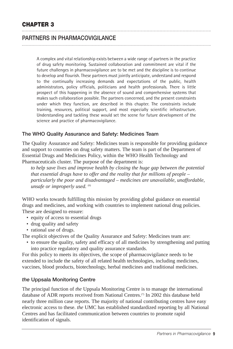# **PARTNERS IN PHARMACOVIGILANCE**

A complex and vital relationship exists between a wide range of partners in the practice of drug safety monitoring. Sustained collaboration and commitment are vital if the future challenges in pharmacovigilance are to be met and the discipline is to continue to develop and flourish. These partners must jointly anticipate, understand and respond to the continually increasing demands and expectations of the public, health administrators, policy officials, politicians and health professionals. There is little prospect of this happening in the absence of sound and comprehensive systems that makes such collaboration possible. The partners concerned, and the present constraints under which they function, are described in this chapter. The constraints include training, resources, political support, and most especially scientific infrastructure. Understanding and tackling these would set the scene for future development of the science and practice of pharmacovigilance.

#### **The WHO Quality Assurance and Safety: Medicines Team**

The Quality Assurance and Safety: Medicines team is responsible for providing guidance and support to countries on drug safety matters. The team is part of the Department of Essential Drugs and Medicines Policy, within the WHO Health Technology and Pharmaceuticals cluster. The purpose of the department is:

*to help save lives and improve health by closing the huge gap between the potential that essential drugs have to offer and the reality that for millions of people – particularly the poor and disadvantaged – medicines are unavailable, unaffordable, unsafe or improperly used.* <sup>(6)</sup>

WHO works towards fulfilling this mission by providing global guidance on essential drugs and medicines, and working with countries to implement national drug policies. These are designed to ensure:

- equity of access to essential drugs
- drug quality and safety
- rational use of drugs.

The explicit objectives of the Quality Assurance and Safety: Medicines team are:

• to ensure the quality, safety and efficacy of all medicines by strengthening and putting into practice regulatory and quality assurance standards.

For this policy to meets its objectives, the scope of pharmacovigilance needs to be extended to include the safety of all related health technologies, including medicines, vaccines, blood products, biotechnology, herbal medicines and traditional medicines.

#### *the* **Uppsala Monitoring Centre**

The principal function of *the* Uppsala Monitoring Centre is to manage the international database of ADR reports received from National Centres.<sup>(7)</sup> In 2002 this database held nearly three million case reports. The majority of national contributing centres have easy electronic access to these. *the* UMC has established standardized reporting by all National Centres and has facilitated communication between countries to promote rapid identification of signals.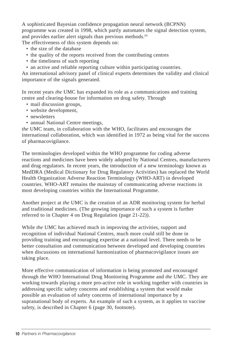A sophisticated Bayesian confidence propagation neural network (BCPNN) programme was created in 1998, which partly automates the signal detection system, and provides earlier alert signals than previous methods.<sup>(8)</sup>

- The effectiveness of this system depends on:
	- the size of the database
	- the quality of the reports received from the contributing centres
	- the timeliness of such reporting
	- an active and reliable reporting culture within participating countries.

An international advisory panel of clinical experts determines the validity and clinical importance of the signals generated.

In recent years *the* UMC has expanded its role as a communications and training centre and clearing-house for information on drug safety. Through

- mail discussion groups,
- website development,
- newsletters
- annual National Centre meetings,

*the* UMC team, in collaboration with the WHO, facilitates and encourages the international collaboration, which was identified in 1972 as being vital for the success of pharmacovigilance.

The terminologies developed within the WHO programme for coding adverse reactions and medicines have been widely adopted by National Centres, manufacturers and drug regulators. In recent years, the introduction of a new terminology known as MedDRA (Medical Dictionary for Drug Regulatory Activities) has replaced the World Health Organization Adverse Reaction Terminology (WHO-ART) in developed countries. WHO-ART remains the mainstay of communicating adverse reactions in most developing countries within the International Programme.

Another project at *the* UMC is the creation of an ADR monitoring system for herbal and traditional medicines. (The growing importance of such a system is further referred to in Chapter 4 on Drug Regulation (page 21-22)).

While *the* UMC has achieved much in improving the activities, support and recognition of individual National Centres, much more could still be done in providing training and encouraging expertise at a national level. There needs to be better consultation and communication between developed and developing countries when discussions on international harmonization of pharmacovigilance issues are taking place.

More effective communication of information is being promoted and encouraged through the WHO International Drug Monitoring Programme and *the* UMC. They are working towards playing a more pro-active role in working together with countries in addressing specific safety concerns and establishing a system that would make possible an evaluation of safety concerns of international importance by a supranational body of experts. An example of such a system, as it applies to vaccine safety, is described in Chapter 6 (page 30, footnote).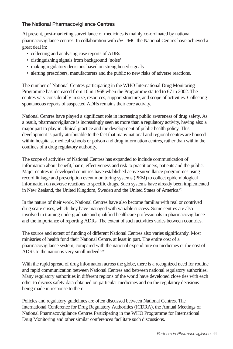## **The National Pharmacovigilance Centres**

At present, post-marketing surveillance of medicines is mainly co-ordinated by national pharmacovigilance centres. In collaboration with *the* UMC the National Centres have achieved a great deal in:

- collecting and analysing case reports of ADRs
- distinguishing signals from background 'noise'
- making regulatory decisions based on strengthened signals
- alerting prescribers, manufacturers and the public to new risks of adverse reactions.

The number of National Centres participating in the WHO International Drug Monitoring Programme has increased from 10 in 1968 when the Programme started to 67 in 2002. The centres vary considerably in size, resources, support structure, and scope of activities. Collecting spontaneous reports of suspected ADRs remains their core activity.

National Centres have played a significant role in increasing public awareness of drug safety. As a result, pharmacovigilance is increasingly seen as more than a regulatory activity, having also a major part to play in clinical practice and the development of public health policy. This development is partly attributable to the fact that many national and regional centres are housed within hospitals, medical schools or poison and drug information centres, rather than within the confines of a drug regulatory authority.

The scope of activities of National Centres has expanded to include communication of information about benefit, harm, effectiveness and risk to practitioners, patients and the public. Major centres in developed countries have established active surveillance programmes using record linkage and prescription event monitoring systems (PEM) to collect epidemiological information on adverse reactions to specific drugs. Such systems have already been implemented in New Zealand, the United Kingdom, Sweden and the United States of America.<sup>(9)</sup>

In the nature of their work, National Centres have also become familiar with real or contrived drug scare crises, which they have managed with variable success. Some centres are also involved in training undergraduate and qualified healthcare professionals in pharmacovigilance and the importance of reporting ADRs. The extent of such activities varies between countries.

The source and extent of funding of different National Centres also varies significantly. Most ministries of health fund their National Centre, at least in part. The entire cost of a pharmacovigilance system, compared with the national expenditure on medicines or the cost of ADRs to the nation is very small indeed.<sup>(10)</sup>

With the rapid spread of drug information across the globe, there is a recognized need for routine and rapid communication between National Centres and between national regulatory authorities. Many regulatory authorities in different regions of the world have developed close ties with each other to discuss safety data obtained on particular medicines and on the regulatory decisions being made in response to them.

Policies and regulatory guidelines are often discussed between National Centres. The International Conference for Drug Regulatory Authorities (ICDRA), the Annual Meetings of National Pharmacovigilance Centres Participating in the WHO Programme for International Drug Monitoring and other similar conferences facilitate such discussions.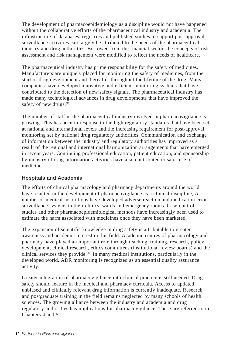The development of pharmacoepidemiology as a discipline would not have happened without the collaborative efforts of the pharmaceutical industry and academia. The infrastructure of databases, registries and published studies to support post-approval surveillance activities can largely be attributed to the needs of the pharmaceutical industry and drug authorities. Borrowed from the financial sector, the concepts of risk assessment and risk management were modified to reflect the needs of healthcare.

The pharmaceutical industry has prime responsibility for the safety of medicines. Manufacturers are uniquely placed for monitoring the safety of medicines, from the start of drug development and thereafter throughout the lifetime of the drug. Many companies have developed innovative and efficient monitoring systems that have contributed to the detection of new safety signals. The pharmaceutical industry has made many technological advances in drug developments that have improved the safety of new drugs.<sup>(11)</sup>

The number of staff in the pharmaceutical industry involved in pharmacovigilance is growing. This has been in response to the high regulatory standards that have been set at national and international levels and the increasing requirement for post-approval monitoring set by national drug regulatory authorities. Communication and exchange of information between the industry and regulatory authorities has improved as a result of the regional and international harmonization arrangements that have emerged in recent years. Continuing professional education, patient education, and sponsorship by industry of drug information activities have also contributed to safer use of medicines.

## **Hospitals and Academia**

The efforts of clinical pharmacology and pharmacy departments around the world have resulted in the development of pharmacovigilance as a clinical discipline, A number of medical institutions have developed adverse reaction and medication error surveillance systems in their clinics, wards and emergency rooms. Case-control studies and other pharmacoepidemiological methods have increasingly been used to estimate the harm associated with medicines once they have been marketed.

The expansion of scientific knowledge in drug safety is attributable to greater awareness and academic interest in this field. Academic centres of pharmacology and pharmacy have played an important role through teaching, training, research, policy development, clinical research, ethics committees (institutional review boards) and the clinical services they provide.(12) In many medical institutions, particularly in the developed world, ADR monitoring is recognized as an essential quality assurance activity.

Greater integration of pharmacovigilance into clinical practice is still needed. Drug safety should feature in the medical and pharmacy curricula. Access to updated, unbiased and clinically relevant drug information is currently inadequate. Research and postgraduate training in the field remains neglected by many schools of health sciences. The growing alliance between the industry and academia and drug regulatory authorities has implications for pharmacovigilance. These are referred to in Chapters 4 and 5.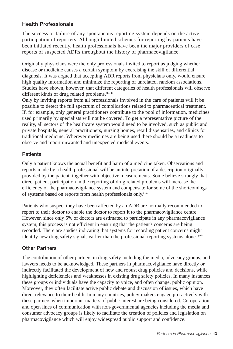#### **Health Professionals**

The success or failure of any spontaneous reporting system depends on the active participation of reporters. Although limited schemes for reporting by patients have been initiated recently, health professionals have been the major providers of case reports of suspected ADRs throughout the history of pharmacovigilance.

Originally physicians were the only professionals invited to report as judging whether disease or medicine causes a certain symptom by exercising the skill of differential diagnosis. It was argued that accepting ADR reports from physicians only, would ensure high quality information and minimize the reporting of unrelated, random associations. Studies have shown, however, that different categories of health professionals will observe different kinds of drug related problems.<sup>(13, 14)</sup>

Only by inviting reports from all professionals involved in the care of patients will it be possible to detect the full spectrum of complications related to pharmaceutical treatment. If, for example, only general practitioners contribute to the pool of information, medicines used primarily by specialists will not be covered. To get a representative picture of the reality, all sectors of the healthcare system would need to be involved, such as public and private hospitals, general practitioners, nursing homes, retail dispensaries, and clinics for traditional medicine. Wherever medicines are being used there should be a readiness to observe and report unwanted and unexpected medical events.

#### **Patients**

Only a patient knows the actual benefit and harm of a medicine taken. Observations and reports made by a health professional will be an interpretation of a description originally provided by the patient, together with objective measurements. Some believe strongly that direct patient participation in the reporting of drug related problems will increase the efficiency of the pharmacovigilance system and compensate for some of the shortcomings of systems based on reports from health professionals only.(15)

Patients who suspect they have been affected by an ADR are normally recommended to report to their doctor to enable the doctor to report it to the pharmacovigilance centre. However, since only 5% of doctors are estimated to participate in any pharmacovigilance system, this process is not efficient in ensuring that the patient's concerns are being recorded. There are studies indicating that systems for recording patient concerns might identify new drug safety signals earlier than the professional reporting systems alone. (16)

#### **Other Partners**

The contribution of other partners in drug safety including the media, advocacy groups, and lawyers needs to be acknowledged. These partners in pharmacovigilance have directly or indirectly facilitated the development of new and robust drug policies and decisions, while highlighting deficiencies and weaknesses in existing drug safety policies. In many instances these groups or individuals have the capacity to voice, and often change, public opinion. Moreover, they often facilitate active public debate and discussion of issues, which have direct relevance to their health. In many countries, policy-makers engage pro-actively with these partners when important matters of public interest are being considered. Co-operation and open lines of communication with non-governmental agencies including the media and consumer advocacy groups is likely to facilitate the creation of policies and legislation on pharmacovigilance which will enjoy widespread public support and confidence.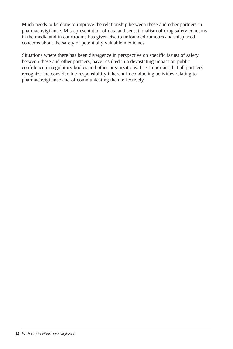Much needs to be done to improve the relationship between these and other partners in pharmacovigilance. Misrepresentation of data and sensationalism of drug safety concerns in the media and in courtrooms has given rise to unfounded rumours and misplaced concerns about the safety of potentially valuable medicines.

Situations where there has been divergence in perspective on specific issues of safety between these and other partners, have resulted in a devastating impact on public confidence in regulatory bodies and other organizations. It is important that all partners recognize the considerable responsibility inherent in conducting activities relating to pharmacovigilance and of communicating them effectively.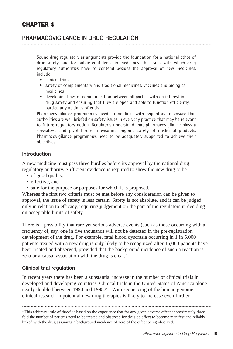## **PHARMACOVIGILANCE IN DRUG REGULATION**

Sound drug regulatory arrangements provide the foundation for a national ethos of drug safety, and for public confidence in medicines. The issues with which drug regulatory authorities have to contend besides the approval of new medicines, include:

- clinical trials
- safety of complementary and traditional medicines, vaccines and biological medicines
- developing lines of communication between all parties with an interest in drug safety and ensuring that they are open and able to function efficiently, particularly at times of crisis.

Pharmacovigilance programmes need strong links with regulators to ensure that authorities are well briefed on safety issues in everyday practice that may be relevant to future regulatory action. Regulators understand that pharmacovigilance plays a specialized and pivotal role in ensuring ongoing safety of medicinal products. Pharmacovigilance programmes need to be adequately supported to achieve their objectives.

#### **Introduction**

A new medicine must pass three hurdles before its approval by the national drug regulatory authority. Sufficient evidence is required to show the new drug to be

- of good quality,
- effective, and
- safe for the purpose or purposes for which it is proposed.

Whereas the first two criteria must be met before any consideration can be given to approval, the issue of safety is less certain. Safety is not absolute, and it can be judged only in relation to efficacy, requiring judgement on the part of the regulators in deciding on acceptable limits of safety.

There is a possibility that rare yet serious adverse events (such as those occurring with a frequency of, say, one in five thousand) will not be detected in the pre-registration development of the drug. For example, fatal blood dyscrasia occurring in 1 in 5,000 patients treated with a new drug is only likely to be recognized after 15,000 patients have been treated and observed, provided that the background incidence of such a reaction is zero or a causal association with the drug is clear.<sup>a</sup>

#### **Clinical trial regulation**

In recent years there has been a substantial increase in the number of clinical trials in developed and developing countries. Clinical trials in the United States of America alone nearly doubled between 1990 and 1998.<sup>(17)</sup> With sequencing of the human genome, clinical research in potential new drug therapies is likely to increase even further.

<sup>a</sup> This arbitrary 'rule of three' is based on the experience that for any given adverse effect approximately threefold the number of patients need to be treated and observed for the side effect to become manifest and reliably linked with the drug assuming a background incidence of zero of the effect being observed.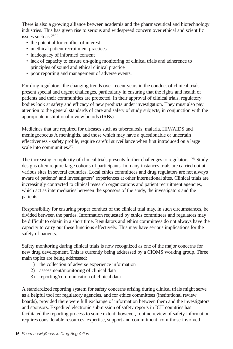There is also a growing alliance between academia and the pharmaceutical and biotechnology industries. This has given rise to serious and widespread concern over ethical and scientific issues such as:<sup>(18-21)</sup>

- the potential for conflict of interest
- unethical patient recruitment practices
- inadequacy of informed consent
- lack of capacity to ensure on-going monitoring of clinical trials and adherence to principles of sound and ethical clinical practice
- poor reporting and management of adverse events.

For drug regulators, the changing trends over recent years in the conduct of clinical trials present special and urgent challenges, particularly in ensuring that the rights and health of patients and their communities are protected. In their approval of clinical trials, regulatory bodies look at safety and efficacy of new products under investigation. They must also pay attention to the general standards of care and safety of study subjects, in conjunction with the appropriate institutional review boards (IRBs).

Medicines that are required for diseases such as tuberculosis, malaria, HIV/AIDS and meningococcus A meningitis, and those which may have a questionable or uncertain effectiveness - safety profile, require careful surveillance when first introduced on a large scale into communities.<sup>(22)</sup>

The increasing complexity of clinical trials presents further challenges to regulators.  $(23)$  Study designs often require large cohorts of participants. In many instances trials are carried out at various sites in several countries. Local ethics committees and drug regulators are not always aware of patients' and investigators' experiences at other international sites. Clinical trials are increasingly contracted to clinical research organizations and patient recruitment agencies, which act as intermediaries between the sponsors of the study, the investigators and the patients.

Responsibility for ensuring proper conduct of the clinical trial may, in such circumstances, be divided between the parties. Information requested by ethics committees and regulators may be difficult to obtain in a short time. Regulators and ethics committees do not always have the capacity to carry out these functions effectively. This may have serious implications for the safety of patients.

Safety monitoring during clinical trials is now recognized as one of the major concerns for new drug development. This is currently being addressed by a CIOMS working group. Three main topics are being addressed:

- 1) the collection of adverse experience information
- 2) assessment/monitoring of clinical data
- 3) reporting/communication of clinical data.

A standardized reporting system for safety concerns arising during clinical trials might serve as a helpful tool for regulatory agencies, and for ethics committees (institutional review boards), provided there were full exchange of information between them and the investigators and sponsors. Expedited electronic submission of safety reports in ICH countries has facilitated the reporting process to some extent; however, routine review of safety information requires considerable resources, expertise, support and commitment from those involved.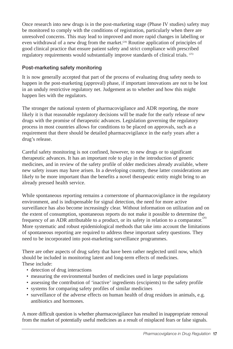Once research into new drugs is in the post-marketing stage (Phase IV studies) safety may be monitored to comply with the conditions of registration, particularly when there are unresolved concerns. This may lead to improved and more rapid changes in labelling or even withdrawal of a new drug from the market.<sup> $(24)$ </sup> Routine application of principles of good clinical practice that ensure patient safety and strict compliance with prescribed regulatory requirements would substantially improve standards of clinical trials. (25)

#### **Post-marketing safety monitoring**

It is now generally accepted that part of the process of evaluating drug safety needs to happen in the post-marketing (approval) phase, if important innovations are not to be lost in an unduly restrictive regulatory net. Judgement as to whether and how this might happen lies with the regulators.

The stronger the national system of pharmacovigilance and ADR reporting, the more likely it is that reasonable regulatory decisions will be made for the early release of new drugs with the promise of therapeutic advances. Legislation governing the regulatory process in most countries allows for conditions to be placed on approvals, such as a requirement that there should be detailed pharmacovigilance in the early years after a drug's release.

Careful safety monitoring is not confined, however, to new drugs or to significant therapeutic advances. It has an important role to play in the introduction of generic medicines, and in review of the safety profile of older medicines already available, where new safety issues may have arisen. In a developing country, these latter considerations are likely to be more important than the benefits a novel therapeutic entity might bring to an already pressed health service.

While spontaneous reporting remains a cornerstone of pharmacovigilance in the regulatory environment, and is indispensable for signal detection, the need for more active surveillance has also become increasingly clear. Without information on utilization and on the extent of consumption, spontaneous reports do not make it possible to determine the frequency of an ADR attributable to a product, or its safety in relation to a comparator. $\degree$ More systematic and robust epidemiological methods that take into account the limitations of spontaneous reporting are required to address these important safety questions. They need to be incorporated into post-marketing surveillance programmes.

There are other aspects of drug safety that have been rather neglected until now, which should be included in monitoring latent and long-term effects of medicines. These include:

- detection of drug interactions
- measuring the environmental burden of medicines used in large populations
- assessing the contribution of 'inactive' ingredients (excipients) to the safety profile
- systems for comparing safety profiles of similar medicines
- surveillance of the adverse effects on human health of drug residues in animals, e.g. antibiotics and hormones.

A more difficult question is whether pharmacovigilance has resulted in inappropriate removal from the market of potentially useful medicines as a result of misplaced fears or false signals.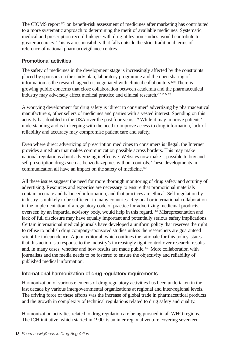The CIOMS report (27) on benefit-risk assessment of medicines after marketing has contributed to a more systematic approach to determining the merit of available medicines. Systematic medical and prescription record linkage, with drug utilization studies, would contribute to greater accuracy. This is a responsibility that falls outside the strict traditional terms of reference of national pharmacovigilance centres.

## **Promotional activities**

The safety of medicines in the development stage is increasingly affected by the constraints placed by sponsors on the study plan, laboratory programme and the open sharing of information as the research agenda is negotiated with clinical collaborators.(28) There is growing public concerns that close collaboration between academia and the pharmaceutical industry may adversely affect medical practice and clinical research.<sup>(17, 29 & 30)</sup>

A worrying development for drug safety is 'direct to consumer' advertizing by pharmaceutical manufacturers, other sellers of medicines and parties with a vested interest. Spending on this activity has doubled in the USA over the past four years.(19) While it may improve patients' understanding and is in keeping with the need to improve access to drug information, lack of reliability and accuracy may compromise patient care and safety.

Even where direct advertizing of prescription medicines to consumers is illegal, the Internet provides a medium that makes communication possible across borders. This may make national regulations about advertizing ineffective. Websites now make it possible to buy and sell prescription drugs such as benzodiazepines without controls. These developments in communication all have an impact on the safety of medicine.<sup>(31)</sup>

All these issues suggest the need for more thorough monitoring of drug safety and scrutiny of advertizing. Resources and expertise are necessary to ensure that promotional materials contain accurate and balanced information, and that practices are ethical. Self-regulation by industry is unlikely to be sufficient in many countries. Regional or international collaboration in the implementation of a regulatory code of practice for advertizing medicinal products, overseen by an impartial advisory body, would help in this regard. (32) Misrepresentation and lack of full disclosure may have equally important and potentially serious safety implications. Certain international medical journals have developed a uniform policy that reserves the right to refuse to publish drug company-sponsored studies unless the researchers are guaranteed scientific independence. A joint editorial, which outlines the rationale for this policy, states that this action is a response to the industry's increasingly tight control over research, results and, in many cases, whether and how results are made public.<sup>(33)</sup> More collaboration with journalists and the media needs to be fostered to ensure the objectivity and reliability of published medical information.

## **International harmonization of drug regulatory requirements**

Harmonization of various elements of drug regulatory activities has been undertaken in the last decade by various intergovernmental organizations at regional and inter-regional levels. The driving force of these efforts was the increase of global trade in pharmaceutical products and the growth in complexity of technical regulations related to drug safety and quality.

Harmonization activities related to drug regulation are being pursued in all WHO regions. The ICH initiative, which started in 1990, is an inter-regional venture covering seventeen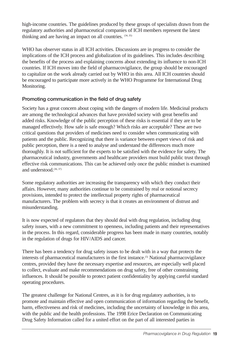high-income countries. The guidelines produced by these groups of specialists drawn from the regulatory authorities and pharmaceutical companies of ICH members represent the latest thinking and are having an impact on all countries.  $(34, 35)$ 

WHO has observer status in all ICH activities. Discussions are in progress to consider the implications of the ICH process and globalization of its guidelines. This includes describing the benefits of the process and explaining concerns about extending its influence to non-ICH countries. If ICH moves into the field of pharmacovigilance, the group should be encouraged to capitalize on the work already carried out by WHO in this area. All ICH countries should be encouraged to participate more actively in the WHO Programme for International Drug Monitoring.

## **Promoting communication in the field of drug safety**

Society has a great concern about coping with the dangers of modern life. Medicinal products are among the technological advances that have provided society with great benefits and added risks. Knowledge of the public perception of these risks is essential if they are to be managed effectively. How safe is safe enough? Which risks are acceptable? These are two critical questions that providers of medicines need to consider when communicating with patients and the public. Recognizing that there is variance between expert views of risk and public perception, there is a need to analyse and understand the differences much more thoroughly. It is not sufficient for the experts to be satisfied with the evidence for safety. The pharmaceutical industry, governments and healthcare providers must build public trust through effective risk communications. This can be achieved only once the public mindset is examined and understood.(36, 37)

Some regulatory authorities are increasing the transparency with which they conduct their affairs. However, many authorities continue to be constrained by real or notional secrecy provisions, intended to protect the intellectual property rights of pharmaceutical manufacturers. The problem with secrecy is that it creates an environment of distrust and misunderstanding.

It is now expected of regulators that they should deal with drug regulation, including drug safety issues, with a new commitment to openness, including patients and their representatives in the process. In this regard, considerable progress has been made in many countries, notably in the regulation of drugs for HIV/AIDS and cancer.

There has been a tendency for drug safety issues to be dealt with in a way that protects the interests of pharmaceutical manufacturers in the first instance.(5) National pharmacovigilance centres, provided they have the necessary expertise and resources, are especially well placed to collect, evaluate and make recommendations on drug safety, free of other constraining influences. It should be possible to protect patient confidentiality by applying careful standard operating procedures.

The greatest challenge for National Centres, as it is for drug regulatory authorities, is to promote and maintain effective and open communication of information regarding the benefit, harm, effectiveness and risk of medicines, including the uncertainty of knowledge in this area, with the public and the health professions. The 1998 Erice Declaration on Communicating Drug Safety Information called for a united effort on the part of all interested parties in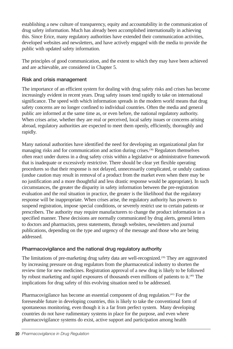establishing a new culture of transparency, equity and accountability in the communication of drug safety information. Much has already been accomplished internationally in achieving this. Since Erice, many regulatory authorities have extended their communication activities, developed websites and newsletters, and have actively engaged with the media to provide the public with updated safety information.

The principles of good communication, and the extent to which they may have been achieved and are achievable, are considered in Chapter 5.

## **Risk and crisis management**

The importance of an efficient system for dealing with drug safety risks and crises has become increasingly evident in recent years. Drug safety issues tend rapidly to take on international significance. The speed with which information spreads in the modern world means that drug safety concerns are no longer confined to individual countries. Often the media and general public are informed at the same time as, or even before, the national regulatory authority. When crises arise, whether they are real or perceived, local safety issues or concerns arising abroad, regulatory authorities are expected to meet them openly, efficiently, thoroughly and rapidly.

Many national authorities have identified the need for developing an organizational plan for managing risks and for communication and action during crises.(38) Regulators themselves often react under duress in a drug safety crisis within a legislative or administrative framework that is inadequate or excessively restrictive. There should be clear yet flexible operating procedures so that their response is not delayed, unnecessarily complicated, or unduly cautious (undue caution may result in removal of a product from the market even when there may be no justification and a more thoughtful and less drastic response would be appropriate). In such circumstances, the greater the disparity in safety information between the pre-registration evaluation and the real situation in practice, the greater is the likelihood that the regulatory response will be inappropriate. When crises arise, the regulatory authority has powers to suspend registration, impose special conditions, or severely restrict use to certain patients or prescribers. The authority may require manufacturers to change the product information in a specified manner. These decisions are normally communicated by drug alerts, general letters to doctors and pharmacists, press statements, through websites, newsletters and journal publications, depending on the type and urgency of the message and those who are being addressed.

## **Pharmacovigilance and the national drug regulatory authority**

The limitations of pre-marketing drug safety data are well-recognized.(39) They are aggravated by increasing pressure on drug regulators from the pharmaceutical industry to shorten the review time for new medicines. Registration approval of a new drug is likely to be followed by robust marketing and rapid exposures of thousands even millions of patients to it.(40) The implications for drug safety of this evolving situation need to be addressed.

Pharmacovigilance has become an essential component of drug regulation.<sup>(41)</sup> For the foreseeable future in developing countries, this is likely to take the conventional form of spontaneous monitoring, even though it is a far from perfect system. Many developing countries do not have rudimentary systems in place for the purpose, and even where pharmacovigilance systems do exist, active support and participation among health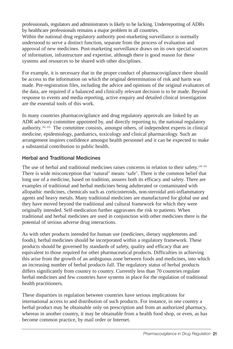professionals, regulators and administrators is likely to be lacking. Underreporting of ADRs by healthcare professionals remains a major problem in all countries. Within the national drug regulatory authority post-marketing surveillance is normally understood to serve a distinct function, separate from the process of evaluation and approval of new medicines. Post-marketing surveillance draws on its own special sources of information, infrastructure and expertise, although there is good reason for these systems and resources to be shared with other disciplines.

For example, it is necessary that in the proper conduct of pharmacovigilance there should be access to the information on which the original determination of risk and harm was made. Pre-registration files, including the advice and opinions of the original evaluators of the data, are required if a balanced and clinically relevant decision is to be made. Beyond response to events and media reporting, active enquiry and detailed clinical investigation are the essential tools of this work.

In many countries pharmacovigilance and drug regulatory approvals are linked by an ADR advisory committee appointed by, and directly reporting to, the national regulatory authority. (42, 43) The committee consists, amongst others, of independent experts in clinical medicine, epidemiology, paediatrics, toxicology and clinical pharmacology. Such an arrangement inspires confidence amongst health personnel and it can be expected to make a substantial contribution to public health.

## **Herbal and Traditional Medicines**

The use of herbal and traditional medicines raises concerns in relation to their safety. (44, 45) There is wide misconception that 'natural' means 'safe'. There is the common belief that long use of a medicine, based on tradition, assures both its efficacy and safety. There are examples of traditional and herbal medicines being adulterated or contaminated with allopathic medicines, chemicals such as corticosteroids, non-steroidal anti-inflammatory agents and heavy metals. Many traditional medicines are manufactured for global use and they have moved beyond the traditional and cultural framework for which they were originally intended. Self-medication further aggravates the risk to patients. When traditional and herbal medicines are used in conjunction with other medicines there is the potential of serious adverse drug interactions.

As with other products intended for human use (medicines, dietary supplements and foods), herbal medicines should be incorporated within a regulatory framework. These products should be governed by standards of safety, quality and efficacy that are equivalent to those required for other pharmaceutical products. Difficulties in achieving this arise from the growth of an ambiguous zone between foods and medicines, into which an increasing number of herbal products fall. The regulatory status of herbal products differs significantly from country to country. Currently less than 70 countries regulate herbal medicines and few countries have systems in place for the regulation of traditional health practitioners.

These disparities in regulation between countries have serious implications for international access to and distribution of such products. For instance, in one country a herbal product may be obtainable only on prescription and from an authorized pharmacy, whereas in another country, it may be obtainable from a health food shop, or even, as has become common practice, by mail order or Internet.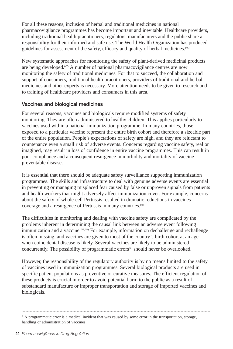For all these reasons, inclusion of herbal and traditional medicines in national pharmacovigilance programmes has become important and inevitable. Healthcare providers, including traditional health practitioners, regulators, manufacturers and the public share a responsibility for their informed and safe use. The World Health Organization has produced guidelines for assessment of the safety, efficacy and quality of herbal medicines.<sup>(46)</sup>

New systematic approaches for monitoring the safety of plant-derived medicinal products are being developed. $(47)$  A number of national pharmacovigilance centres are now monitoring the safety of traditional medicines. For that to succeed, the collaboration and support of consumers, traditional health practitioners, providers of traditional and herbal medicines and other experts is necessary. More attention needs to be given to research and to training of healthcare providers and consumers in this area.

#### **Vaccines and biological medicines**

For several reasons, vaccines and biologicals require modified systems of safety monitoring. They are often administered to healthy children. This applies particularly to vaccines used within a national immunization programme. In many countries, those exposed to a particular vaccine represent the entire birth cohort and therefore a sizeable part of the entire population. People's expectations of safety are high, and they are reluctant to countenance even a small risk of adverse events. Concerns regarding vaccine safety, real or imagined, may result in loss of confidence in entire vaccine programmes. This can result in poor compliance and a consequent resurgence in morbidity and mortality of vaccinepreventable disease.

It is essential that there should be adequate safety surveillance supporting immunization programmes. The skills and infrastructure to deal with genuine adverse events are essential in preventing or managing misplaced fear caused by false or unproven signals from patients and health workers that might adversely affect immunization cover. For example, concerns about the safety of whole-cell Pertussis resulted in dramatic reductions in vaccines coverage and a resurgence of Pertussis in many countries.<sup>(48)</sup>

The difficulties in monitoring and dealing with vaccine safety are complicated by the problems inherent in determining the causal link between an adverse event following immunization and a vaccine.<sup>(49, 50)</sup> For example, information on dechallenge and rechallenge is often missing, and vaccines are given to most of the country's birth cohort at an age when coincidental disease is likely. Several vaccines are likely to be administered concurrently. The possibility of programmatic errors<sup> $b$ </sup> should never be overlooked.

However, the responsibility of the regulatory authority is by no means limited to the safety of vaccines used in immunization programmes. Several biological products are used in specific patient populations as preventive or curative measures. The efficient regulation of these products is crucial in order to avoid potential harm to the public as a result of substandard manufacture or improper transportation and storage of imported vaccines and biologicals.

 $\overline{b}$  A programmatic error is a medical incident that was caused by some error in the transportation, storage, handling or administration of vaccines.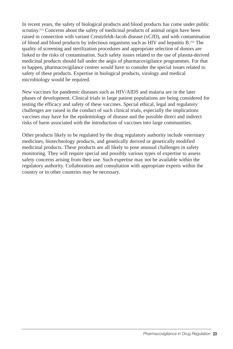In recent years, the safety of biological products and blood products has come under public scrutiny.<sup>(51)</sup> Concerns about the safety of medicinal products of animal origin have been raised in connection with variant Creutzfeldt-Jacob disease (vCJD), and with contamination of blood and blood products by infectious organisms such as HIV and hepatitis B.(52) The quality of screening and sterilization procedures and appropriate selection of donors are linked to the risks of contamination. Such safety issues related to the use of plasma-derived medicinal products should fall under the aegis of pharmacovigilance programmes. For that to happen, pharmacovigilance centres would have to consider the special issues related to safety of these products. Expertise in biological products, virology and medical microbiology would be required.

New vaccines for pandemic diseases such as HIV/AIDS and malaria are in the later phases of development. Clinical trials in large patient populations are being considered for testing the efficacy and safety of these vaccines. Special ethical, legal and regulatory challenges are raised in the conduct of such clinical trials, especially the implications vaccines may have for the epidemiology of disease and the possible direct and indirect risks of harm associated with the introduction of vaccines into large communities.

Other products likely to be regulated by the drug regulatory authority include veterinary medicines, biotechnology products, and genetically derived or genetically modified medicinal products. These products are all likely to pose unusual challenges in safety monitoring. They will require special and possibly various types of expertise to assess safety concerns arising from their use. Such expertise may not be available within the regulatory authority. Collaboration and consultation with appropriate experts within the country or in other countries may be necessary.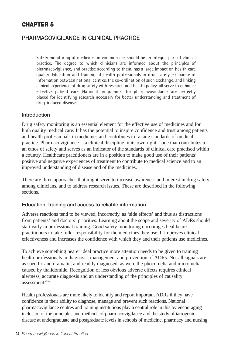# **PHARMACOVIGILANCE IN CLINICAL PRACTICE**

Safety monitoring of medicines in common use should be an integral part of clinical practice. The degree to which clinicians are informed about the principles of pharmacovigilance, and practise according to them, has a large impact on health care quality. Education and training of health professionals in drug safety, exchange of information between national centres, the co-ordination of such exchange, and linking clinical experience of drug safety with research and health policy, all serve to enhance effective patient care. National programmes for pharmacovigilance are perfectly placed for identifying research necessary for better understanding and treatment of drug-induced diseases.

#### **Introduction**

Drug safety monitoring is an essential element for the effective use of medicines and for high quality medical care. It has the potential to inspire confidence and trust among patients and health professionals in medicines and contributes to raising standards of medical practice. Pharmacovigilance is a clinical discipline in its own right – one that contributes to an ethos of safety and serves as an indicator of the standards of clinical care practised within a country. Healthcare practitioners are in a position to make good use of their patients' positive and negative experiences of treatment to contribute to medical science and to an improved understanding of disease and of the medicines.

There are three approaches that might serve to increase awareness and interest in drug safety among clinicians, and to address research issues. These are described in the following sections.

#### **Education, training and access to reliable information**

Adverse reactions tend to be viewed, incorrectly, as 'side effects' and thus as distractions from patients' and doctors' priorities. Learning about the scope and severity of ADRs should start early in professional training. Good safety monitoring encourages healthcare practitioners to take fuller responsibility for the medicines they use. It improves clinical effectiveness and increases the confidence with which they and their patients use medicines.

To achieve something nearer ideal practice more attention needs to be given to training health professionals in diagnosis, management and prevention of ADRs. Not all signals are as specific and dramatic, and readily diagnosed, as were the phocomelia and micromelia caused by thalidomide. Recognition of less obvious adverse effects requires clinical alertness, accurate diagnosis and an understanding of the principles of causality assessment $(53)$ 

Health professionals are more likely to identify and report important ADRs if they have confidence in their ability to diagnose, manage and prevent such reactions. National pharmacovigilance centres and training institutions play a central role in this by encouraging inclusion of the principles and methods of pharmacovigilance and the study of iatrogenic disease at undergraduate and postgraduate levels in schools of medicine, pharmacy and nursing.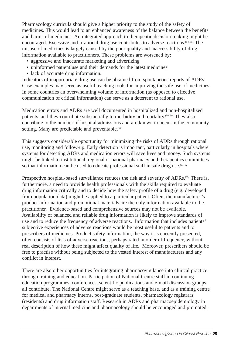Pharmacology curricula should give a higher priority to the study of the safety of medicines. This would lead to an enhanced awareness of the balance between the benefits and harms of medicines. An integrated approach to therapeutic decision-making might be encouraged. Excessive and irrational drug use contributes to adverse reactions.(54, 55) The misuse of medicines is largely caused by the poor quality and inaccessibility of drug information available to practitioners. These problems are worsened by:

- aggressive and inaccurate marketing and advertizing
- uninformed patient use and their demands for the latest medicines
- lack of accurate drug information.

Indicators of inappropriate drug use can be obtained from spontaneous reports of ADRs. Case examples may serve as useful teaching tools for improving the safe use of medicines. In some countries an overwhelming volume of information (as opposed to effective communication of critical information) can serve as a deterrent to rational use.

Medication errors and ADRs are well documented in hospitalized and non-hospitalized patients, and they contribute substantially to morbidity and mortality.<sup>(56, 59)</sup> They also contribute to the number of hospital admissions and are known to occur in the community setting. Many are predictable and preventable.<sup>(60)</sup>

This suggests considerable opportunity for minimizing the risks of ADRs through rational use, monitoring and follow-up. Early detection is important, particularly in hospitals where systems for detecting ADRs and medication errors will save lives and money. Such systems might be linked to institutional, regional or national pharmacy and therapeutics committees so that information can be used to educate professional staff in safe drug use.  $(61, 62)$ 

Prospective hospital-based surveillance reduces the risk and severity of ADRs.<sup>(63)</sup> There is, furthermore, a need to provide health professionals with the skills required to evaluate drug information critically and to decide how the safety profile of a drug (e.g. developed from population data) might be applied to a particular patient. Often, the manufacturer's product information and promotional materials are the only information available to the practitioner. Evidence-based and comprehensive sources may not be available. Availability of balanced and reliable drug information is likely to improve standards of use and to reduce the frequency of adverse reactions. Information that includes patients' subjective experiences of adverse reactions would be most useful to patients and to prescribers of medicines. Product safety information, the way it is currently presented, often consists of lists of adverse reactions, perhaps rated in order of frequency, without real description of how these might affect quality of life. Moreover, prescribers should be free to practise without being subjected to the vested interest of manufacturers and any conflict in interest.

There are also other opportunities for integrating pharmacovigilance into clinical practice through training and education. Participation of National Centre staff in continuing education programmes, conferences, scientific publications and e-mail discussion groups all contribute. The National Centre might serve as a teaching base, and as a training centre for medical and pharmacy interns, post-graduate students, pharmacology registrars (residents) and drug information staff. Research in ADRs and pharmacoepidemiology in departments of internal medicine and pharmacology should be encouraged and promoted.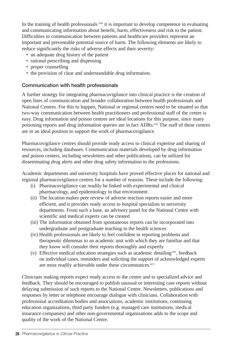In the training of health professionals <sup>(64)</sup> it is important to develop competence in evaluating and communicating information about benefit, harm, effectiveness and risk to the patient. Difficulties in communication between patients and healthcare providers represent an important and preventable potential source of harm. The following elements are likely to reduce significantly the risks of adverse effects and their severity:

- an adequate drug history of the patient
- rational prescribing and dispensing
- proper counselling
- the provision of clear and understandable drug information.

#### **Communication with health professionals**

A further strategy for integrating pharmacovigilance into clinical practice is the creation of open lines of communication and broader collaboration between health professionals and National Centres. For this to happen, National or regional centres need to be situated so that two-way communication between health practitioners and professional staff of the centre is easy. Drug information and poison centres are ideal locations for this purpose, since many poisoning reports and drug information queries are in fact ADRs.(65) The staff of these centres are in an ideal position to support the work of pharmacovigilance.

Pharmacovigilance centres should provide ready access to clinical expertise and sharing of resources, including databases. Communication materials developed by drug information and poison centers, including newsletters and other publications, can be utilized for disseminating drug alerts and other drug safety information to the professions.

Academic departments and university hospitals have proved effective places for national and regional pharmacovigilance centres for a number of reasons. These include the following:

- (i) Pharmacovigilance can readily be linked with experimental and clinical pharmacology, and epidemiology in that environment
- (ii) The location makes peer review of adverse reaction reports easier and more efficient, and it provides ready access to hospital specialists in university departments. From such a base, an advisory panel for the National Centre with scientific and medical experts can be created
- (iii) The information obtained from spontaneous reports can be incorporated into undergraduate and postgraduate teaching in the health sciences
- (iv) Health professionals are likely to feel confident in reporting problems and therapeutic dilemmas to an academic unit with which they are familiar and that they know will consider their reports thoroughly and expertly
- (v) Effective medical education strategies such as academic detailing<sup>(66)</sup>, feedback on individual cases, reminders and soliciting the support of acknowledged experts are most readily achievable under these circumstances.<sup>(67)</sup>

Clinicians making reports expect ready access to the centre and to specialized advice and feedback. They should be encouraged to publish unusual or interesting case reports without delaying submission of such reports to the National Centre. Newsletters, publications and responses by letter or telephone encourage dialogue with clinicians. Collaboration with professional accreditation bodies and associations, academic institutions, continuing education organizations, third party funders (e.g. managed care institutions, medical insurance companies) and other non-governmental organizations adds to the scope and quality of the work of the National Centre.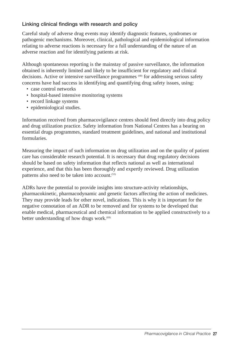## **Linking clinical findings with research and policy**

Careful study of adverse drug events may identify diagnostic features, syndromes or pathogenic mechanisms. Moreover, clinical, pathological and epidemiological information relating to adverse reactions is necessary for a full understanding of the nature of an adverse reaction and for identifying patients at risk.

Although spontaneous reporting is the mainstay of passive surveillance, the information obtained is inherently limited and likely to be insufficient for regulatory and clinical decisions. Active or intensive surveillance programmes (68) for addressing serious safety concerns have had success in identifying and quantifying drug safety issues, using:

- case control networks
- hospital-based intensive monitoring systems
- record linkage systems
- epidemiological studies.

Information received from pharmacovigilance centres should feed directly into drug policy and drug utilization practice. Safety information from National Centres has a bearing on essential drugs programmes, standard treatment guidelines, and national and institutional formularies.

Measuring the impact of such information on drug utilization and on the quality of patient care has considerable research potential. It is necessary that drug regulatory decisions should be based on safety information that reflects national as well as international experience, and that this has been thoroughly and expertly reviewed. Drug utilization patterns also need to be taken into account.<sup>(53)</sup>

ADRs have the potential to provide insights into structure-activity relationships, pharmacokinetic, pharmacodynamic and genetic factors affecting the action of medicines. They may provide leads for other novel, indications. This is why it is important for the negative connotation of an ADR to be removed and for systems to be developed that enable medical, pharmaceutical and chemical information to be applied constructively to a better understanding of how drugs work.<sup>(69)</sup>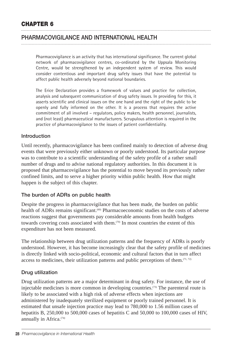# **PHARMACOVIGILANCE AND INTERNATIONAL HEALTH**

Pharmacovigilance is an activity that has international significance. The current global network of pharmacovigilance centres, co-ordinated by the Uppsala Monitoring Centre, would be strengthened by an independent system of review. This would consider contentious and important drug safety issues that have the potential to affect public health adversely beyond national boundaries.

The Erice Declaration provides a framework of values and practice for collection, analysis and subsequent communication of drug safety issues. In providing for this, it asserts scientific and clinical issues on the one hand and the right of the public to be openly and fully informed on the other. It is a process that requires the active commitment of all involved – regulators, policy makers, health personnel, journalists, and (not least) pharmaceutical manufacturers. Scrupulous attention is required in the practice of pharmacovigilance to the issues of patient confidentiality.

#### **Introduction**

Until recently, pharmacovigilance has been confined mainly to detection of adverse drug events that were previously either unknown or poorly understood. Its particular purpose was to contribute to a scientific understanding of the safety profile of a rather small number of drugs and to advise national regulatory authorities. In this document it is proposed that pharmacovigilance has the potential to move beyond its previously rather confined limits, and to serve a higher priority within public health. How that might happen is the subject of this chapter.

#### **The burden of ADRs on public health**

Despite the progress in pharmacovigilance that has been made, the burden on public health of ADRs remains significant.<sup>(60)</sup> Pharmacoeconomic studies on the costs of adverse reactions suggest that governments pay considerable amounts from health budgets towards covering costs associated with them.(70) In most countries the extent of this expenditure has not been measured.

The relationship between drug utilization patterns and the frequency of ADRs is poorly understood. However, it has become increasingly clear that the safety profile of medicines is directly linked with socio-political, economic and cultural factors that in turn affect access to medicines, their utilization patterns and public perceptions of them.  $(71, 72)$ 

#### **Drug utilization**

Drug utilization patterns are a major determinant in drug safety. For instance, the use of injectable medicines is more common in developing countries.(73) The parenteral route is likely to be associated with a high risk of adverse effects when injections are administered by inadequately sterilized equipment or poorly trained personnel. It is estimated that unsafe injection practice may lead to 780,000 to 1.56 million cases of hepatitis B, 250,000 to 500,000 cases of hepatitis C and 50,000 to 100,000 cases of HIV, annually in Africa.<sup>(74)</sup>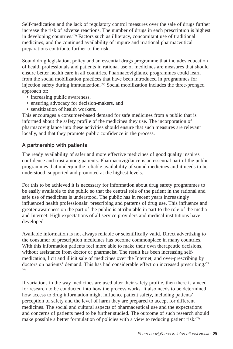Self-medication and the lack of regulatory control measures over the sale of drugs further increase the risk of adverse reactions. The number of drugs in each prescription is highest in developing countries.(73) Factors such as illiteracy, concomitant use of traditional medicines, and the continued availability of impure and irrational pharmaceutical preparations contribute further to the risk.

Sound drug legislation, policy and an essential drugs programme that includes education of health professionals and patients in rational use of medicines are measures that should ensure better health care in all countries. Pharmacovigilance programmes could learn from the social mobilization practices that have been introduced in programmes for injection safety during immunization.<sup>(74)</sup> Social mobilization includes the three-pronged approach of:

- increasing public awareness,
- ensuring advocacy for decision-makers, and
- sensitization of health workers.

This encourages a consumer-based demand for safe medicines from a public that is informed about the safety profile of the medicines they use. The incorporation of pharmacovigilance into these activities should ensure that such measures are relevant locally, and that they promote public confidence in the process.

#### **A partnership with patients**

The ready availability of safer and more effective medicines of good quality inspires confidence and trust among patients. Pharmacovigilance is an essential part of the public programmes that underpin the reliable availability of sound medicines and it needs to be understood, supported and promoted at the highest levels.

For this to be achieved it is necessary for information about drug safety programmes to be easily available to the public so that the central role of the patient in the rational and safe use of medicines is understood. The public has in recent years increasingly influenced health professionals' prescribing and patterns of drug use. This influence and greater awareness on the part of the public is attributable in part to the role of the media and Internet. High expectations of all service providers and medical institutions have developed.

Available information is not always reliable or scientifically valid. Direct advertizing to the consumer of prescription medicines has become commonplace in many countries. With this information patients feel more able to make their own therapeutic decisions, without assistance from doctor or pharmacist. The result has been increasing selfmedication, licit and illicit sale of medicines over the Internet, and over-prescribing by doctors on patients' demand. This has had considerable effect on increased prescribing.<sup>(75,</sup> 76)

If variations in the way medicines are used alter their safety profile, then there is a need for research to be conducted into how the process works. It also needs to be determined how access to drug information might influence patient safety, including patients' perception of safety and the level of harm they are prepared to accept for different medicines. The social and cultural aspects of pharmaceutical use and the expectations and concerns of patients need to be further studied. The outcome of such research should make possible a better formulation of policies with a view to reducing patient risk.<sup> $(7)$ </sup>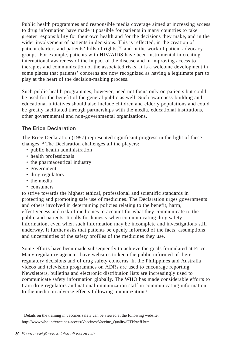Public health programmes and responsible media coverage aimed at increasing access to drug information have made it possible for patients in many countries to take greater responsibility for their own health and for the decisions they make, and in the wider involvement of patients in decisions. This is reflected, in the creation of patient charters and patients' bills of rights,<sup>(75)</sup> and in the work of patient advocacy groups. For example, patients with HIV/AIDS have been instrumental in creating international awareness of the impact of the disease and in improving access to therapies and communication of the associated risks. It is a welcome development in some places that patients' concerns are now recognized as having a legitimate part to play at the heart of the decision-making process.

Such public health programmes, however, need not focus only on patients but could be used for the benefit of the general public as well. Such awareness-building and educational initiatives should also include children and elderly populations and could be greatly facilitated through partnerships with the media, educational institutions, other governmental and non-governmental organizations.

## **The Erice Declaration**

The Erice Declaration (1997) represented significant progress in the light of these changes.(5) The Declaration challenges all the players:

- public health administration
- health professionals
- the pharmaceutical industry
- government
- drug regulators
- the media
- consumers

to strive towards the highest ethical, professional and scientific standards in protecting and promoting safe use of medicines. The Declaration urges governments and others involved in determining policies relating to the benefit, harm, effectiveness and risk of medicines to account for what they communicate to the public and patients. It calls for honesty when communicating drug safety information, even when such information may be incomplete and investigations still underway. It further asks that patients be openly informed of the facts, assumptions and uncertainties of the safety profiles of the medicines they use.

Some efforts have been made subsequently to achieve the goals formulated at Erice. Many regulatory agencies have websites to keep the public informed of their regulatory decisions and of drug safety concerns. In the Philippines and Australia videos and television programmes on ADRs are used to encourage reporting. Newsletters, bulletins and electronic distribution lists are increasingly used to communicate safety information globally. The WHO has made considerable efforts to train drug regulators and national immunization staff in communicating information to the media on adverse effects following immunization.<sup>c</sup>

<sup>c</sup> Details on the training in vaccines safety can be viewed at the following website: http://www.who.int/vaccines-access/Vaccines/Vaccine\_Quality/GTN/aefi.htm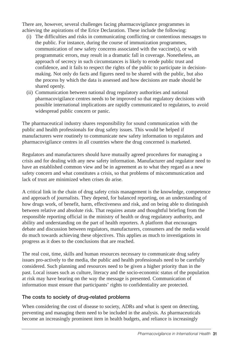There are, however, several challenges facing pharmacovigilance programmes in achieving the aspirations of the Erice Declaration. These include the following:

- (i) The difficulties and risks in communicating conflicting or contentious messages to the public. For instance, during the course of immunization programmes, communication of new safety concerns associated with the vaccine(s), or with programmatic errors, may result in a dramatic fall in coverage. Nonetheless, an approach of secrecy in such circumstances is likely to erode public trust and confidence, and it fails to respect the rights of the public to participate in decisionmaking. Not only do facts and figures need to be shared with the public, but also the process by which the data is assessed and how decisions are made should be shared openly.
- (ii) Communication between national drug regulatory authorities and national pharmacovigilance centres needs to be improved so that regulatory decisions with possible international implications are rapidly communicated to regulators, to avoid widespread public concern or panic.

The pharmaceutical industry shares responsibility for sound communication with the public and health professionals for drug safety issues. This would be helped if manufacturers were routinely to communicate new safety information to regulators and pharmacovigilance centres in all countries where the drug concerned is marketed.

Regulators and manufacturers should have mutually agreed procedures for managing a crisis and for dealing with any new safety information. Manufacturer and regulator need to have an established common view and be in agreement as to what they regard as a new safety concern and what constitutes a crisis, so that problems of miscommunication and lack of trust are minimized when crises do arise.

A critical link in the chain of drug safety crisis management is the knowledge, competence and approach of journalists. They depend, for balanced reporting, on an understanding of how drugs work, of benefit, harm, effectiveness and risk, and on being able to distinguish between relative and absolute risk. That requires astute and thoughtful briefing from the responsible reporting official in the ministry of health or drug regulatory authority, and ability and understanding on the part of health reporters. A platform that encourages debate and discussion between regulators, manufacturers, consumers and the media would do much towards achieving these objectives. This applies as much to investigations in progress as it does to the conclusions that are reached.

The real cost, time, skills and human resources necessary to communicate drug safety issues pro-actively to the media, the public and health professionals need to be carefully considered. Such planning and resources need to be given a higher priority than in the past. Local issues such as culture, literacy and the socio-economic status of the population at risk may have bearing on the way the message is presented. Communication of information must ensure that participants' rights to confidentiality are protected.

## **The costs to society of drug-related problems**

When considering the cost of disease to society, ADRs and what is spent on detecting, preventing and managing them need to be included in the analysis. As pharmaceuticals become an increasingly prominent item in health budgets, and reliance is increasingly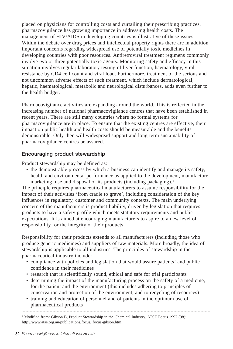placed on physicians for controlling costs and curtailing their prescribing practices, pharmacovigilance has growing importance in addressing health costs. The management of HIV/AIDS in developing countries is illustrative of these issues. Within the debate over drug prices and intellectual property rights there are in addition important concerns regarding widespread use of potentially toxic medicines in developing countries with poor resources. Antiretroviral treatment regimens commonly involve two or three potentially toxic agents. Monitoring safety and efficacy in this situation involves regular laboratory testing of liver function, haematology, viral resistance by CD4 cell count and viral load. Furthermore, treatment of the serious and not uncommon adverse effects of such treatment, which include dermatological, hepatic, haematological, metabolic and neurological disturbances, adds even further to the health budget.

Pharmacovigilance activities are expanding around the world. This is reflected in the increasing number of national pharmacovigilance centres that have been established in recent years. There are still many countries where no formal systems for pharmacovigilance are in place. To ensure that the existing centres are effective, their impact on public health and health costs should be measurable and the benefits demonstrable. Only then will widespread support and long-term sustainability of pharmacovigilance centres be assured.

## **Encouraging product stewardship**

Product stewardship may be defined as:

• the demonstrable process by which a business can identify and manage its safety, health and environmental performance as applied to the development, manufacture, marketing, use and disposal of its products (including packaging). $d$ 

The principle requires pharmaceutical manufacturers to assume responsibility for the impact of their activities 'from cradle to grave', including consideration of the key influences in regulatory, customer and community contexts. The main underlying concern of the manufacturers is product liability, driven by legislation that requires products to have a safety profile which meets statutory requirements and public expectations. It is aimed at encouraging manufacturers to aspire to a new level of responsibility for the integrity of their products.

Responsibility for their products extends to all manufacturers (including those who produce generic medicines) and suppliers of raw materials. More broadly, the idea of stewardship is applicable to all industries. The principles of stewardship in the pharmaceutical industry include:

- compliance with policies and legislation that would assure patients' and public confidence in their medicines
- research that is scientifically sound, ethical and safe for trial participants
- determining the impact of the manufacturing process on the safety of a medicine, for the patient and the environment (this includes adhering to principles of conservation and protection of the environment, and to recycling of resources)
- training and education of personnel and of patients in the optimum use of pharmaceutical products

<sup>d</sup> Modified from: Gibson B, Product Stewardship in the Chemical Industry. ATSE Focus 1997 (98): http://www.atse.org.au/publications/focus/ focus-gibson.htm.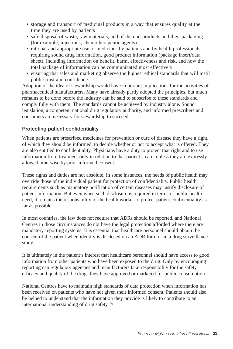- storage and transport of medicinal products in a way that ensures quality at the time they are used by patients
- safe disposal of waste, raw materials, and of the end-products and their packaging (for example, injections, chemotherapeutic agents)
- rational and appropriate use of medicines by patients and by health professionals, requiring sound drug information, good product information (package insert/data sheet), including information on benefit, harm, effectiveness and risk, and how the total package of information can be communicated most effectively
- ensuring that sales and marketing observe the highest ethical standards that will instil public trust and confidence.

Adoption of the idea of stewardship would have important implications for the activities of pharmaceutical manufacturers. Many have already partly adopted the principles, but much remains to be done before the industry can be said to subscribe to these standards and comply fully with them. The standards cannot be achieved by industry alone. Sound legislation, a competent national drug regulatory authority, and informed prescribers and consumers are necessary for stewardship to succeed.

## **Protecting patient confidentiality**

When patients are prescribed medicines for prevention or cure of disease they have a right, of which they should be informed, to decide whether or not to accept what is offered. They are also entitled to confidentiality. Physicians have a duty to protect that right and to use information from treatment only in relation to that patient's care, unless they are expressly allowed otherwise by prior informed consent.

These rights and duties are not absolute. In some instances, the needs of public health may override those of the individual patient for protection of confidentiality. Public health requirements such as mandatory notification of certain diseases may justify disclosure of patient information. But even when such disclosure is required in terms of public health need, it remains the responsibility of the health worker to protect patient confidentiality as far as possible.

In most countries, the law does not require that ADRs should be reported, and National Centres in those circumstances do not have the legal protection afforded where there are mandatory reporting systems. It is essential that healthcare personnel should obtain the consent of the patient when identity is disclosed on an ADR form or in a drug surveillance study.

It is ultimately in the patient's interest that healthcare personnel should have access to good information from other patients who have been exposed to the drug. Only by encouraging reporting can regulatory agencies and manufacturers take responsibility for the safety, efficacy and quality of the drugs they have approved or marketed for public consumption.

National Centres have to maintain high standards of data protection when information has been received on patients who have not given their informed consent. Patients should also be helped to understand that the information they provide is likely to contribute to an international understanding of drug safety.<sup>(78)</sup>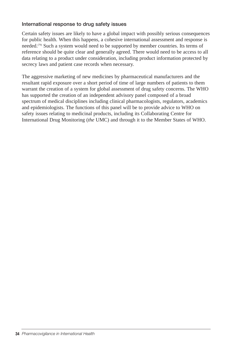#### **International response to drug safety issues**

Certain safety issues are likely to have a global impact with possibly serious consequences for public health. When this happens, a cohesive international assessment and response is needed.(79) Such a system would need to be supported by member countries. Its terms of reference should be quite clear and generally agreed. There would need to be access to all data relating to a product under consideration, including product information protected by secrecy laws and patient case records when necessary.

The aggressive marketing of new medicines by pharmaceutical manufacturers and the resultant rapid exposure over a short period of time of large numbers of patients to them warrant the creation of a system for global assessment of drug safety concerns. The WHO has supported the creation of an independent advisory panel composed of a broad spectrum of medical disciplines including clinical pharmacologists, regulators, academics and epidemiologists. The functions of this panel will be to provide advice to WHO on safety issues relating to medicinal products, including its Collaborating Centre for International Drug Monitoring (*the* UMC) and through it to the Member States of WHO.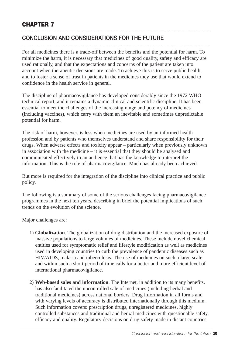# **CONCLUSION AND CONSIDERATIONS FOR THE FUTURE**

For all medicines there is a trade-off between the benefits and the potential for harm. To minimize the harm, it is necessary that medicines of good quality, safety and efficacy are used rationally, and that the expectations and concerns of the patient are taken into account when therapeutic decisions are made. To achieve this is to serve public health, and to foster a sense of trust in patients in the medicines they use that would extend to confidence in the health service in general.

The discipline of pharmacovigilance has developed considerably since the 1972 WHO technical report, and it remains a dynamic clinical and scientific discipline. It has been essential to meet the challenges of the increasing range and potency of medicines (including vaccines), which carry with them an inevitable and sometimes unpredictable potential for harm.

The risk of harm, however, is less when medicines are used by an informed health profession and by patients who themselves understand and share responsibility for their drugs. When adverse effects and toxicity appear – particularly when previously unknown in association with the medicine – it is essential that they should be analysed and communicated effectively to an audience that has the knowledge to interpret the information. This is the role of pharmacovigilance. Much has already been achieved.

But more is required for the integration of the discipline into clinical practice and public policy.

The following is a summary of some of the serious challenges facing pharmacovigilance programmes in the next ten years, describing in brief the potential implications of such trends on the evolution of the science.

Major challenges are:

- 1) **Globalization**. The globalization of drug distribution and the increased exposure of massive populations to large volumes of medicines. These include novel chemical entities used for symptomatic relief and lifestyle modification as well as medicines used in developing countries to curb the prevalence of pandemic diseases such as HIV/AIDS, malaria and tuberculosis. The use of medicines on such a large scale and within such a short period of time calls for a better and more efficient level of international pharmacovigilance.
- 2) **Web-based sales and information**. The Internet, in addition to its many benefits, has also facilitated the uncontrolled sale of medicines (including herbal and traditional medicines) across national borders. Drug information in all forms and with varying levels of accuracy is distributed internationally through this medium. Such information covers: prescription drugs, unregistered medicines, highly controlled substances and traditional and herbal medicines with questionable safety, efficacy and quality. Regulatory decisions on drug safety made in distant countries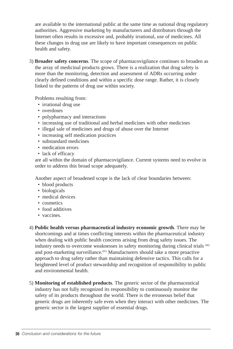are available to the international public at the same time as national drug regulatory authorities. Aggressive marketing by manufacturers and distributors through the Internet often results in excessive and, probably irrational, use of medicines. All these changes in drug use are likely to have important consequences on public health and safety.

3) **Broader safety concerns**. The scope of pharmacovigilance continues to broaden as the array of medicinal products grows. There is a realization that drug safety is more than the monitoring, detection and assessment of ADRs occurring under clearly defined conditions and within a specific dose range. Rather, it is closely linked to the patterns of drug use within society.

Problems resulting from:

- irrational drug use
- overdoses
- polypharmacy and interactions
- increasing use of traditional and herbal medicines with other medicines
- illegal sale of medicines and drugs of abuse over the Internet
- increasing self medication practices
- substandard medicines
- medication errors
- lack of efficacy

are all within the domain of pharmacovigilance. Current systems need to evolve in order to address this broad scope adequately.

Another aspect of broadened scope is the lack of clear boundaries between:

- blood products
- biologicals
- medical devices
- cosmetics
- food additives
- vaccines.
- 4) **Public health versus pharmaceutical industry economic growth**. There may be shortcomings and at times conflicting interests within the pharmaceutical industry when dealing with public health concerns arising from drug safety issues. The industry needs to overcome weaknesses in safety monitoring during clinical trials (80) and post-marketing surveillance.(81) Manufacturers should take a more proactive approach to drug safety rather than maintaining defensive tactics. This calls for a heightened level of product stewardship and recognition of responsibility to public and environmental health.
- 5) **Monitoring of established products**. The generic sector of the pharmaceutical industry has not fully recognized its responsibility to continuously monitor the safety of its products throughout the world. There is the erroneous belief that generic drugs are inherently safe even when they interact with other medicines. The generic sector is the largest supplier of essential drugs.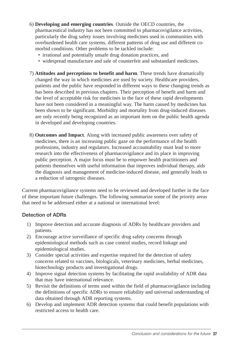- 6) **Developing and emerging countries**. Outside the OECD countries, the pharmaceutical industry has not been committed to pharmacovigilance activities, particularly the drug safety issues involving medicines used in communities with overburdened health care systems, different patterns of drug use and different comorbid conditions. Other problems to be tackled include:
	- irrational and potentially unsafe drug donation practices, and
	- widespread manufacture and sale of counterfeit and substandard medicines.
- 7) **Attitudes and perceptions to benefit and harm**. These trends have dramatically changed the way in which medicines are used by society. Healthcare providers, patients and the public have responded in different ways to these changing trends as has been described in previous chapters. Their perception of benefit and harm and the level of acceptable risk for medicines in the face of these rapid developments have not been considered in a meaningful way. The harm caused by medicines has been shown to be significant. Morbidity and mortality from drug-induced diseases are only recently being recognized as an important item on the public health agenda in developed and developing countries.
- 8) **Outcomes and Impact**. Along with increased public awareness over safety of medicines, there is an increasing public gaze on the performance of the health professions, industry and regulators. Increased accountability must lead to more research into the effectiveness of pharmacovigilance and its place in improving public perception. A major focus must be to empower health practitioners and patients themselves with useful information that improves individual therapy, aids the diagnosis and management of medicine-induced disease, and generally leads to a reduction of iatrogenic diseases.

Current pharmacovigilance systems need to be reviewed and developed further in the face of these important future challenges. The following summarize some of the priority areas that need to be addressed either at a national or international level:

#### **Detection of ADRs**

- 1) Improve detection and accurate diagnosis of ADRs by healthcare providers and patients.
- 2) Encourage active surveillance of specific drug safety concerns through epidemiological methods such as case control studies, record linkage and epidemiological studies.
- 3) Consider special activities and expertise required for the detection of safety concerns related to vaccines, biologicals, veterinary medicines, herbal medicines, biotechnology products and investigational drugs.
- 4) Improve signal detection systems by facilitating the rapid availability of ADR data that may have international relevance.
- 5) Revisit the definitions of terms used within the field of pharmacovigilance including the definitions of specific ADRs to ensure reliability and universal understanding of data obtained through ADR reporting systems.
- 6) Develop and implement ADR detection systems that could benefit populations with restricted access to health care.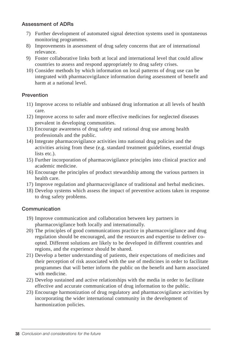#### **Assessment of ADRs**

- 7) Further development of automated signal detection systems used in spontaneous monitoring programmes.
- 8) Improvements in assessment of drug safety concerns that are of international relevance.
- 9) Foster collaborative links both at local and international level that could allow countries to assess and respond appropriately to drug safety crises.
- 10) Consider methods by which information on local patterns of drug use can be integrated with pharmacovigilance information during assessment of benefit and harm at a national level.

#### **Prevention**

- 11) Improve access to reliable and unbiased drug information at all levels of health care.
- 12) Improve access to safer and more effective medicines for neglected diseases prevalent in developing communities.
- 13) Encourage awareness of drug safety and rational drug use among health professionals and the public.
- 14) Integrate pharmacovigilance activities into national drug policies and the activities arising from these (e.g. standard treatment guidelines, essential drugs lists etc.).
- 15) Further incorporation of pharmacovigilance principles into clinical practice and academic medicine.
- 16) Encourage the principles of product stewardship among the various partners in health care.
- 17) Improve regulation and pharmacovigilance of traditional and herbal medicines.
- 18) Develop systems which assess the impact of preventive actions taken in response to drug safety problems.

#### **Communication**

- 19) Improve communication and collaboration between key partners in pharmacovigilance both locally and internationally.
- 20) The principles of good communications practice in pharmacovigilance and drug regulation should be encouraged, and the resources and expertise to deliver coopted. Different solutions are likely to be developed in different countries and regions, and the experience should be shared.
- 21) Develop a better understanding of patients, their expectations of medicines and their perception of risk associated with the use of medicines in order to facilitate programmes that will better inform the public on the benefit and harm associated with medicine.
- 22) Develop sustained and active relationships with the media in order to facilitate effective and accurate communication of drug information to the public.
- 23) Encourage harmonization of drug regulatory and pharmacovigilance activities by incorporating the wider international community in the development of harmonization policies.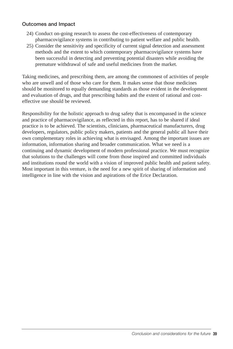#### **Outcomes and Impact**

- 24) Conduct on-going research to assess the cost-effectiveness of contemporary pharmacovigilance systems in contributing to patient welfare and public health.
- 25) Consider the sensitivity and specificity of current signal detection and assessment methods and the extent to which contemporary pharmacovigilance systems have been successful in detecting and preventing potential disasters while avoiding the premature withdrawal of safe and useful medicines from the market.

Taking medicines, and prescribing them, are among the commonest of activities of people who are unwell and of those who care for them. It makes sense that those medicines should be monitored to equally demanding standards as those evident in the development and evaluation of drugs, and that prescribing habits and the extent of rational and costeffective use should be reviewed.

Responsibility for the holistic approach to drug safety that is encompassed in the science and practice of pharmacovigilance, as reflected in this report, has to be shared if ideal practice is to be achieved. The scientists, clinicians, pharmaceutical manufacturers, drug developers, regulators, public policy makers, patients and the general public all have their own complementary roles in achieving what is envisaged. Among the important issues are information, information sharing and broader communication. What we need is a continuing and dynamic development of modern professional practice. We must recognize that solutions to the challenges will come from those inspired and committed individuals and institutions round the world with a vision of improved public health and patient safety. Most important in this venture, is the need for a new spirit of sharing of information and intelligence in line with the vision and aspirations of the Erice Declaration.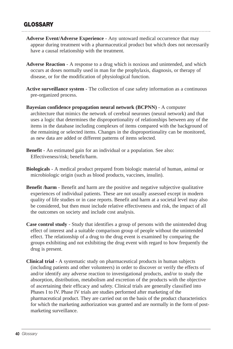# **GLOSSARY**

- **Adverse Event/Adverse Experience** Any untoward medical occurrence that may appear during treatment with a pharmaceutical product but which does not necessarily have a causal relationship with the treatment.
- **Adverse Reaction** A response to a drug which is noxious and unintended, and which occurs at doses normally used in man for the prophylaxis, diagnosis, or therapy of disease, or for the modification of physiological function.
- **Active surveillance system** The collection of case safety information as a continuous pre-organized process.
- **Bayesian confidence propagation neural network (BCPNN)** A computer architecture that mimics the network of cerebral neurones (neural network) and that uses a logic that determines the disproportionality of relationships between any of the items in the database including complexes of items compared with the background of the remaining or selected items. Changes in the disproportionality can be monitored, as new data are added or different patterns of items selected.
- **Benefit** An estimated gain for an individual or a population. See also: Effectiveness/risk; benefit/harm.
- **Biologicals** A medical product prepared from biologic material of human, animal or microbiologic origin (such as blood products, vaccines, insulin).
- **Benefit /harm** Benefit and harm are the positive and negative subjective qualitative experiences of individual patients. These are not usually assessed except in modern quality of life studies or in case reports. Benefit and harm at a societal level may also be considered, but then must include relative effectiveness and risk, the impact of all the outcomes on society and include cost analysis.
- **Case control study** Study that identifies a group of persons with the unintended drug effect of interest and a suitable comparison group of people without the unintended effect. The relationship of a drug to the drug event is examined by comparing the groups exhibiting and not exhibiting the drug event with regard to how frequently the drug is present.
- **Clinical trial** A systematic study on pharmaceutical products in human subjects (including patients and other volunteers) in order to discover or verify the effects of and/or identify any adverse reaction to investigational products, and/or to study the absorption, distribution, metabolism and excretion of the products with the objective of ascertaining their efficacy and safety. Clinical trials are generally classified into Phases I to IV. Phase IV trials are studies performed after marketing of the pharmaceutical product. They are carried out on the basis of the product characteristics for which the marketing authorization was granted and are normally in the form of postmarketing surveillance.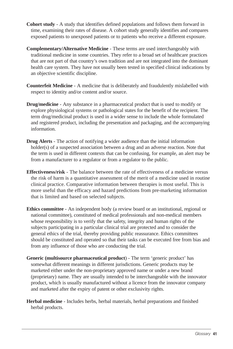- **Cohort study** A study that identifies defined populations and follows them forward in time, examining their rates of disease. A cohort study generally identifies and compares exposed patients to unexposed patients or to patients who receive a different exposure.
- **Complementary/Alternative Medicine** These terms are used interchangeably with traditional medicine in some countries. They refer to a broad set of healthcare practices that are not part of that country's own tradition and are not integrated into the dominant health care system. They have not usually been tested in specified clinical indications by an objective scientific discipline.
- **Counterfeit Medicine** A medicine that is deliberately and fraudulently mislabelled with respect to identity and/or content and/or source.
- **Drug/medicine** Any substance in a pharmaceutical product that is used to modify or explore physiological systems or pathological states for the benefit of the recipient. The term drug/medicinal product is used in a wider sense to include the whole formulated and registered product, including the presentation and packaging, and the accompanying information.
- **Drug Alerts** The action of notifying a wider audience than the initial information holder(s) of a suspected association between a drug and an adverse reaction. Note that the term is used in different contexts that can be confusing, for example, an alert may be from a manufacturer to a regulator or from a regulator to the public.
- **Effectiveness/risk** The balance between the rate of effectiveness of a medicine versus the risk of harm is a quantitative assessment of the merit of a medicine used in routine clinical practice. Comparative information between therapies is most useful. This is more useful than the efficacy and hazard predictions from pre-marketing information that is limited and based on selected subjects.
- **Ethics committee** An independent body (a review board or an institutional, regional or national committee), constituted of medical professionals and non-medical members whose responsibility is to verify that the safety, integrity and human rights of the subjects participating in a particular clinical trial are protected and to consider the general ethics of the trial, thereby providing public reassurance. Ethics committees should be constituted and operated so that their tasks can be executed free from bias and from any influence of those who are conducting the trial.
- **Generic (multisource pharmaceutical product**) The term 'generic product' has somewhat different meanings in different jurisdictions. Generic products may be marketed either under the non-proprietary approved name or under a new brand (proprietary) name. They are usually intended to be interchangeable with the innovator product, which is usually manufactured without a licence from the innovator company and marketed after the expiry of patent or other exclusivity rights.
- **Herbal medicine** Includes herbs, herbal materials, herbal preparations and finished herbal products.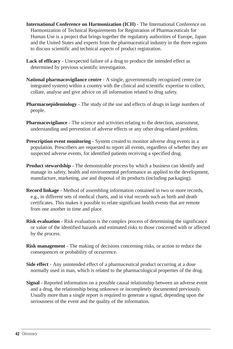- **International Conference on Harmonization (ICH)** The International Conference on Harmonization of Technical Requirements for Registration of Pharmaceuticals for Human Use is a project that brings together the regulatory authorities of Europe, Japan and the United States and experts from the pharmaceutical industry in the three regions to discuss scientific and technical aspects of product registration.
- **Lack of efficacy** Unexpected failure of a drug to produce the intended effect as determined by previous scientific investigation.
- **National pharmacovigilance centre** A single, governmentally recognized centre (or integrated system) within a country with the clinical and scientific expertise to collect, collate, analyse and give advice on all information related to drug safety.
- **Pharmacoepidemiology** The study of the use and effects of drugs in large numbers of people.
- **Pharmacovigilance** The science and activities relating to the detection, assessment, understanding and prevention of adverse effects or any other drug-related problem.
- **Prescription event monitoring** System created to monitor adverse drug events in a population. Prescribers are requested to report all events, regardless of whether they are suspected adverse events, for identified patients receiving a specified drug.
- **Product stewardship** The demonstrable process by which a business can identify and manage its safety, health and environmental performance as applied to the development, manufacture, marketing, use and disposal of its products (including packaging).
- **Record linkage** Method of assembling information contained in two or more records, e.g., in different sets of medical charts, and in vital records such as birth and death certificates. This makes it possible to relate significant health events that are remote from one another in time and place.
- **Risk evaluation** Risk evaluation is the complex process of determining the significance or value of the identified hazards and estimated risks to those concerned with or affected by the process.
- **Risk management** The making of decisions concerning risks, or action to reduce the consequences or probability of occurrence.
- **Side effect** Any unintended effect of a pharmaceutical product occurring at a dose normally used in man, which is related to the pharmacological properties of the drug.
- **Signal** Reported information on a possible causal relationship between an adverse event and a drug, the relationship being unknown or incompletely documented previously. Usually more than a single report is required to generate a signal, depending upon the seriousness of the event and the quality of the information.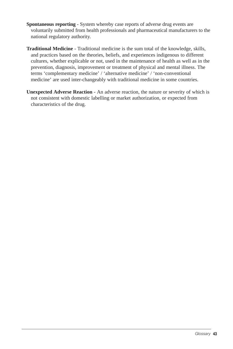- **Spontaneous reporting** System whereby case reports of adverse drug events are voluntarily submitted from health professionals and pharmaceutical manufacturers to the national regulatory authority.
- **Traditional Medicine** Traditional medicine is the sum total of the knowledge, skills, and practices based on the theories, beliefs, and experiences indigenous to different cultures, whether explicable or not, used in the maintenance of health as well as in the prevention, diagnosis, improvement or treatment of physical and mental illness. The terms 'complementary medicine' / 'alternative medicine' / 'non-conventional medicine' are used inter-changeably with traditional medicine in some countries.
- **Unexpected Adverse Reaction** An adverse reaction, the nature or severity of which is not consistent with domestic labelling or market authorization, or expected from characteristics of the drug.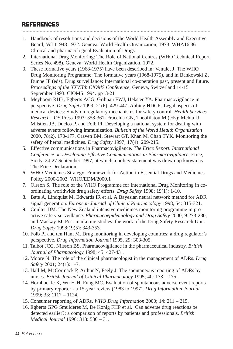## **REFERENCES**

- 1. Handbook of resolutions and decisions of the World Health Assembly and Executive Board, Vol 11948-1972. Geneva: World Health Organization, 1973. WHA16.36 Clinical and pharmacological Evaluation of Drugs.
- 2. International Drug Monitoring: The Role of National Centres (WHO Technical Report Series No. 498). Geneva: World Health Organization, 1972.
- 3. These formative years (1968-1975) have been described in: Venulet J. The WHO Drug Monitoring Programme: The formative years (1968-1975), and in Bankowski Z, Dunne JF (eds). Drug surveillance: International co-operation past, present and future. *Proceedings of the XXVIIth CIOMS Conference*, Geneva, Switzerland 14-15 September 1993. CIOMS 1994. pp13-21
- 4. Meyboom RHB, Egberts ACG, Gribnau FWJ, Hekster YA. Pharmacovigilance in perspective. *Drug Safety* 1999; 21(6): 429-447. Abbing HDCR. Legal aspects of medical devices: Study on regulatory mechanisms for safety control. *Health Services Research*. IOS Press 1993: 358-361. Fracchia GN, Theofilatou M (eds); Mehta U, Milstien JB, Duclos P, and Folb PI. Developing a national system for dealing with adverse events following immunization. *Bulletin of the World Health Organization* 2000, 78(2), 170-177. Craven BM, Stewart GT, Khan M. Chan TYK. Monitoring the safety of herbal medicines. *Drug Safety* 1997; 17(4): 209-215.
- 5. Effective communications in Pharmacovigilance. *The Erice Report. International Conference on Developing Effective Communications in Pharmacovigilance*, Erice, Sicily, 24-27 September 1997, at which a policy statement was drawn up known as The Erice Declaration.
- 6. WHO Medicines Strategy: Framework for Action in Essential Drugs and Medicines Policy 2000-2003. WHO/EDM/2000.1
- 7. Olsson S. The role of the WHO Programme for International Drug Monitoring in coordinating worldwide drug safety efforts. *Drug Safety* 1998; 19(1): 1-10.
- 8. Bate A, Lindquist M, Edwards IR et al. A Bayesian neural network method for ADR signal generation. *European Journal of Clinical Pharmacology* 1998, 54: 315-321.
- 9. Coulter DM. The New Zealand intensive medicines monitoring programme in proactive safety surveillance. *Pharmacoepidemiology and Drug Safety* 2000; 9:273-280; and Mackay FJ. Post-marketing studies: the work of the Drug Safety Research Unit. *Drug Safety* 1998:19(5): 343-353.
- 10. Folb PI and ten Ham M. Drug monitoring in developing countries: a drug regulator's perspective. *Drug Information Journal* 1995, 29: 303-305.
- 11. Talbot JCC, Nilsson BS. Pharmacovigilance in the pharmaceutical industry. *British Journal of Pharmacology* 1998; 45: 427-431.
- 12. Moore N. The role of the clinical pharmacologist in the management of ADRs. *Drug Safety* 2001; 24(1): 1-7.
- 13. Hall M, McCormack P, Arthur N, Feely J. The spontaneous reporting of ADRs by nurses. *British Journal of Clinical Pharmacology* 1995; 40: 173 – 175.
- 14. Hornbuckle K, Wu H-H, Fung MC. Evaluation of spontaneous adverse event reports by primary reporter - a 15-year review (1983 to 1997). *Drug Information Journal* 1999; 33: 1117 – 1124.
- 15. Consumer reporting of ADRs. *WHO Drug Information* 2000; 14: 211 215.
- 16. Egberts GPG Smulderes M, De Konig FHP et al. Can adverse drug reactions be detected earlier?: a comparison of reports by patients and professionals. *British Medical Journal* 1996; 313: 530 – 31.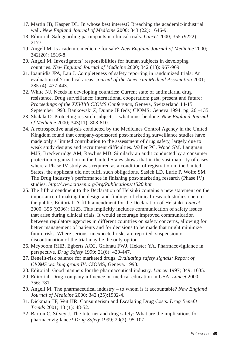- 17. Martin JB, Kasper DL. In whose best interest? Breaching the academic-industrial wall. *New England Journal of Medicine* 2000; 343 (22): 1646-9.
- 18. Editorial. Safeguarding participants in clinical trials. *Lancet* 2000; 355 (9222): 2177.
- 19. Angell M. Is academic medicine for sale? *New England Journal of Medicine* 2000; 342(20): 1516-8.
- 20. Angell M. Investigators' responsibilities for human subjects in developing countries. *New England Journal of Medicine* 2000; 342 (13): 967-969.
- 21. Ioannidis JPA, Lau J. Completeness of safety reporting in randomized trials: An evaluation of 7 medical areas. J*ournal of the American Medical Association* 2001; 285 (4): 437-443.
- 22. White NJ. Needs in developing countries: Current state of antimalarial drug resistance. Drug surveillance: international cooperation: past, present and future: *Proceedings of the XXVIIth CIOMS Conference*, Geneva, Switzerland 14-15 September 1993. Bankowski Z, Dunne JF (eds) CIOMS; Geneva 1994: pg126 –135.
- 23. Shalala D. Protecting research subjects what must be done. *New England Journal of Medicine* 2000; 343(11): 808-810.
- 24. A retrospective analysis conducted by the Medicines Control Agency in the United Kingdom found that company-sponsored post-marketing surveillance studies have made only a limited contribution to the assessment of drug safety, largely due to weak study designs and recruitment difficulties. Waller PC, Wood SM, Langman MJS, Breckenridge AM, Rawlins MD. Similarly an audit conducted by a consumer protection organization in the United States shows that in the vast majority of cases where a Phase IV study was required as a condition of registration in the United States, the applicant did not fulfil such obligations. Sasich LD, Lurie P, Wolfe SM. The Drug Industry's performance in finishing post-marketing research (Phase IV) studies. *http://www.citizen.org/hrg/Publications/1520.htm*
- 25. The fifth amendment to the Declaration of Helsinki contains a new statement on the importance of making the design and findings of clinical research studies open to the public. Editorial: A fifth amendment for the Declaration of Helsinki. *Lancet* 2000. 356 (9236): 1123. This implicitly includes communication of safety issues that arise during clinical trials. It would encourage improved communication between regulatory agencies in different countries on safety concerns, allowing for better management of patients and for decisions to be made that might minimize future risk. Where serious, unexpected risks are reported, suspension or discontinuation of the trial may be the only option.
- 26. Meyboom RHB, Egberts ACG, Gribnau FWJ, Hekster YA. Pharmacovigilance in perspective. *Drug Safety* 1999; 21(6): 429-447.
- 27. Benefit-risk balance for marketed drugs. *Evaluating safety signals: Report of CIOMS working group IV*. CIOMS, Geneva. 1998.
- 28. Editorial: Good manners for the pharmaceutical industry. *Lancet* 1997; 349: 1635.
- 29. Editorial: Drug-company influence on medical education in USA. *Lancet* 2000; 356: 781.
- 30. Angell M. The pharmaceutical industry to whom is it accountable? *New England Journal of Medicine* 2000; 342 (25):1902-4.
- 31. Dickman TF, Veit HR. Consumerism and Escalating Drug Costs. *Drug Benefit Trends* 2001; 13 (1): 48-52.
- 32. Barton C, Silvey J. The Internet and drug safety: What are the implications for pharmacovigilance? *Drug Safety* 1999; 20(2): 95-107.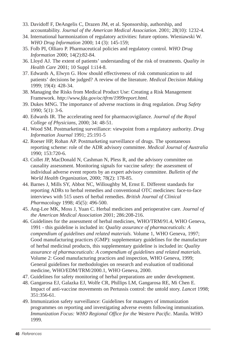- 33. Davidoff F, DeAngelis C, Drazen JM, et al. Sponsorship, authorship, and accountability. *Journal of the American Medical Association*. 2001; 28(10): 1232-4.
- 34. International harmonization of regulatory activities: future options. Wieniawski W. *WHO Drug Information* 2000; 14 (3): 145-159;
- 35. Folb PI, Olliaro P. Pharmaceutical policies and regulatory control. *WHO Drug Information* 2000; 14(2):82-84.
- 36. Lloyd AJ. The extent of patients' understanding of the risk of treatments. *Quality in Health Care* 2001; 10 Suppl 1:i14-8.
- 37. Edwards A, Elwyn G. How should effectiveness of risk communication to aid patients' decisions be judged? A review of the literature. *Medical Decision Making* 1999; 19(4): 428-34.
- 38. Managing the Risks from Medical Product Use: Creating a Risk Management Framework. *http://www.fda.gov/oc/tfrm/1999report.html.*
- 39. Dukes MNG. The importance of adverse reactions in drug regulation. *Drug Safety* 1990; 5(1): 3-6.
- 40. Edwards IR. The accelerating need for pharmacovigilance. *Journal of the Royal College of Physicians*, 2000; 34: 48-51.
- 41. Wood SM. Postmarketing surveillance: viewpoint from a regulatory authority. *Drug Information Journal* 1991; 25:191-5
- 42. Roeser HP, Rohan AP. Postmarketing surveillance of drugs. The spontaneous reporting scheme: role of the ADR advisory committee. *Medical Journal of Australia* 1990; 153:720-6.
- 43. Collet JP, MacDonald N, Cashman N, Pless R, and the advisory committee on causality assessment. Monitoring signals for vaccine safety: the assessment of individual adverse event reports by an expert advisory committee. *Bulletin of the World Health Organization*, 2000; 78(2): 178-85.
- 44. Barnes J, Mills SY, Abbot NC, Willoughby M, Ernst E. Different standards for reporting ADRs to herbal remedies and conventional OTC medicines: face-to-face interviews with 515 users of herbal remedies. *British Journal of Clinical Pharmacology* 1998; 45(5): 496-500.
- 45. Ang-Lee MK, Moss J, Yuan C. Herbal medicines and perioperative care. *Journal of the American Medical Association* 2001; 286:208-216.
- 46. Guidelines for the assessment of herbal medicines, WHO/TRM/91.4, WHO Geneva, 1991 - this guideline is included in: *Quality assurance of pharmaceuticals: A compendium of guidelines and related materials*. Volume 1, WHO Geneva, 1997; Good manufacturing practices (GMP): supplementary guidelines for the manufacture of herbal medicinal products, this supplementary guideline is included in: *Quality assurance of pharmaceuticals: A compendium of guidelines and related materials*. Volume 2: Good manufacturing practices and inspection, WHO Geneva, 1999; General guidelines for methodologies on research and evaluation of traditional medicine, WHO/EDM/TRM/2000.1, WHO Geneva, 2000.
- 47. Guidelines for safety monitoring of herbal preparations are under development.
- 48. Gangarosa EJ, Galazka EJ, Wolfe CR, Phillips LM, Gangarosa RE, Mi Chen E. Impact of anti-vaccine movements on Pertussis control: the untold story. *Lancet* 1998; 351:356-61.
- 49. Immunization safety surveillance: Guidelines for managers of immunization programmes on reporting and investigating adverse events following immunization. *Immunization Focus: WHO Regional Office for the Western Pacific*. Manila. WHO 1999.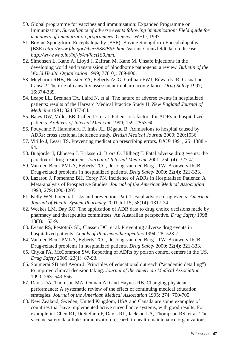- 50. Global programme for vaccines and immunization: Expanded Programme on Immunization. *Surveillance of adverse events following immunization: Field guide for managers of immunization programmes*. Geneva: WHO, 1997.
- 51. Bovine Spongiform Encephalopathy (BSE); Bovine Spongiform Encephalopathy (BSE) *http://www.fda.gov/cber/BSE/BSE.htm*. Variant Creutzfeldt-Jakob disease, *http://www.who.int/inf-fs/en/fact180.htm*.
- 52. Simonsen L, Kane A, Lloyd J, Zaffran M, Kane M. Unsafe injections in the developing world and transmission of bloodborne pathogens: a review. *Bulletin of the World Health Organization* 1999; 77(10): 789-800.
- 53. Meyboom RHB, Hekster YA, Egberts ACG, Gribnau FWJ, Edwards IR. Casual or Causal? The role of causality assessment in pharmacovigilance. *Drug Safety* 1997; 16:374-389.
- 54. Leape LL, Brennan TA, Laird N, et al. The nature of adverse events in hospitalized patients: results of the Harvard Medical Practice Study II. *New England Journal of Medicine* 1991; 324:377-84.
- 55. Bates DW, Miller EB, Cullen DJ et al. Patient risk factors for ADRs in hospitalized patients. *Archives of Internal Medicine* 1999; 159: 2553-60.
- 56. Pouyanne P, Haramburu F, Imbs JL, Bégaud B. Admissions to hospital caused by ADRs: cross sectional incidence study. *British Medical Journal* 2000; 320:1036.
- 57. Vitillo J, Lesar TS. Preventing medication prescribing errors. *DICP* 1991; 25: 1388 94.
- 58. Buajordet I, Ebbesen J, Erikssen J, Brors O, Hilberg T. Fatal adverse drug events: the paradox of drug treatment. *Journal of Internal Medicine* 2001; 250 (4): 327-41.
- 59. Van den Bemt PMLA, Egberts TCG, de Jong-van den Berg LTW, Brouwers JRJB. Drug-related problems in hospitalized patients. *Drug Safety* 2000; 22(4): 321-333.
- 60. Lazarou J, Pomeranz BH, Corey PN. Incidence of ADRs in Hospitalized Patients: A Meta-analysis of Prospective Studies. *Journal of the American Medical Association* 1998; 279:1200-1205.
- 61. Kelly WN. Potential risks and prevention, Part 1: Fatal adverse drug events. *American Journal of Health System Pharmacy* 2001 Jul 15; 58(14): 1317-24.
- 62. Weekes LM, Day RO. The application of ADR data to drug choice decisions made by pharmacy and therapeutics committees: An Australian perspective. *Drug Safety* 1998; 18(3): 153-9.
- 63. Evans RS, Pestotnik SL, Classen DC, et al. Preventing adverse drug events in hospitalized patients. *Annals of Pharmacotherapeutics* 1994; 28: 523-7.
- 64. Van den Bemt PMLA, Egberts TCG, de Jong-van den Berg LTW, Brouwers JRJB. Drug-related problems in hospitalized patients. *Drug Safety* 2000; 22(4): 321-333.
- 65. Chyka PA, McCommon SW. Reporting of ADRs by poison control centers in the US. *Drug Safety* 2000; 23(1): 87-93.
- 66. Soumerai SB and Avorn J. Principles of educational outreach ("academic detailing") to improve clinical decision taking. *Journal of the American Medical Association* 1990; 263: 549-556.
- 67. Davis DA, Thomson MA, Oxman AD and Haynes RB. Changing physician performance: A systematic review of the effect of continuing medical education strategies. *Journal of the American Medical Association* 1995; 274: 700-705.
- 68. New Zealand, Sweden, United Kingdom, USA and Canada are some examples of countries that have implemented active surveillance systems, with good results. For example in: Chen RT, DeStefano F, Davis RL, Jackson LA, Thompson RS, et al. The vaccine safety data link: immunization research in health maintenance organizations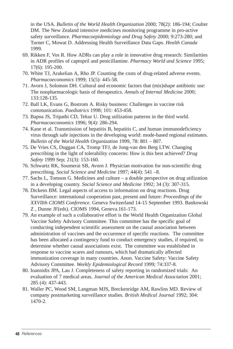in the USA. *Bulletin of the World Health Organization* 2000; 78(2): 186-194; Coulter DM. The New Zealand intensive medicines monitoring programme in pro-active safety surveillance. *Pharmacoepidemiology and Drug Safety* 2000; 9:273-280; and Turner C, Mowat D. Addressing Health Surveillance Data Gaps. *Health Canada* 1999.

- 69. Rikken F, Vos R. How ADRs can play a role in innovative drug research: Similarities in ADR profiles of captopril and penicillamine. *Pharmacy World and Science* 1995; 17(6): 195-200.
- 70. White TJ, Arakelian A, Rho JP. Counting the costs of drug-related adverse events. *Pharmacoeconomics* 1999; 15(5): 445-58.
- 71. Avorn J, Solomon DH. Cultural and economic factors that (mis)shape antibiotic use: The nonpharmacologic basis of therapeutics. *Annals of Internal Medicine* 2000; 133:128-135.
- 72. Ball LK, Evans G, Bostrom A. Risky business: Challenges in vaccine risk communication. *Paediatrics* 1998; 101: 453-458.
- 73. Bapna JS, Tripathi CD, Tekur U. Drug utilization patterns in the third world. *Pharmacoeconomics* 1996; 9(4): 286-294.
- 74. Kane et al. Transmission of hepatitis B, hepatitis C, and human immunodeficiency virus through safe injections in the developing world: mode-based regional estimates. *Bulletin of the World Health Organization* 1999, 78: 801 – 807.
- 75. De Vries CS, Duggan CA, Tromp TFJ, de Jong-van den Berg LTW. Changing prescribing in the light of tolerability concerns: How is this best achieved? *Drug Safety* 1999 Sep; 21(3): 153-160.
- 76. Schwartz RK, Soumerai SB, Avorn J. Physician motivation for non-scientific drug prescribing. *Social Science and Medicine* 1997; 44(4): 541 –8.
- 77. Sachs L, Tomson G. Medicines and culture a double perspective on drug utilization in a developing country. *Social Science and Medicine* 1992; 34 (3): 307-315.
- 78. Dickens BM. Legal aspects of access to information on drug reactions. Drug Surveillance: international cooperation past, present and future: *Proceedings of the XXVIIth CIOMS Conference*. Geneva Switzerland 14-15 September 1993. Bankowski Z , Dunne JF(eds). CIOMS 1994, Geneva.161-173.
- 79. An example of such a collaborative effort is the World Health Organization Global Vaccine Safety Advisory Committee. This committee has the specific goal of conducting independent scientific assessment on the causal association between administration of vaccines and the occurrence of specific reactions. The committee has been allocated a contingency fund to conduct emergency studies, if required, to determine whether causal associations exist. The committee was established in response to vaccine scares and rumours, which had dramatically affected immunization coverage in many countries. Anon. Vaccine Safety: Vaccine Safety Advisory Committee. *Weekly Epidemiological Record* 1999; 74:337-8.
- 80. Ioannidis JPA, Lau J. Completeness of safety reporting in randomized trials: An evaluation of 7 medical areas. *Journal of the American Medical Association* 2001; 285 (4): 437-443.
- 81. Waller PC, Wood SM, Langman MJS, Breckenridge AM, Rawlins MD. Review of company postmarketing surveillance studies. *British Medical Journal* 1992; 304: 1470-2.